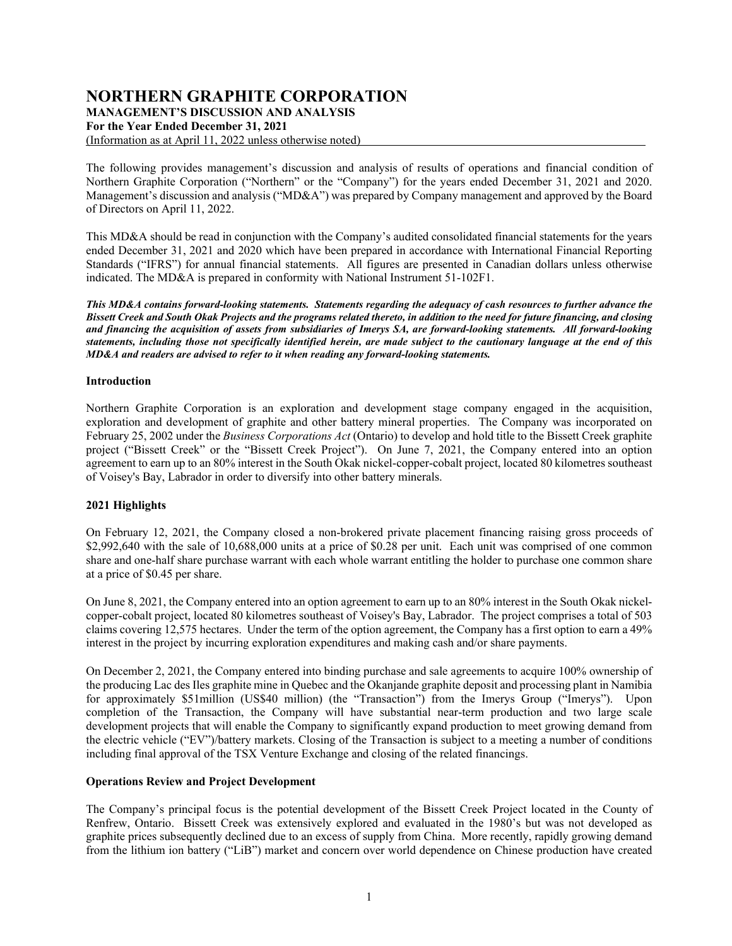# **NORTHERN GRAPHITE CORPORATION**

**MANAGEMENT'S DISCUSSION AND ANALYSIS**

**For the Year Ended December 31, 2021** 

(Information as at April 11, 2022 unless otherwise noted)

The following provides management's discussion and analysis of results of operations and financial condition of Northern Graphite Corporation ("Northern" or the "Company") for the years ended December 31, 2021 and 2020. Management's discussion and analysis ("MD&A") was prepared by Company management and approved by the Board of Directors on April 11, 2022.

This MD&A should be read in conjunction with the Company's audited consolidated financial statements for the years ended December 31, 2021 and 2020 which have been prepared in accordance with International Financial Reporting Standards ("IFRS") for annual financial statements. All figures are presented in Canadian dollars unless otherwise indicated. The MD&A is prepared in conformity with National Instrument 51-102F1.

*This MD&A contains forward-looking statements. Statements regarding the adequacy of cash resources to further advance the Bissett Creek and South Okak Projects and the programs related thereto, in addition to the need for future financing, and closing and financing the acquisition of assets from subsidiaries of Imerys SA, are forward-looking statements. All forward-looking statements, including those not specifically identified herein, are made subject to the cautionary language at the end of this MD&A and readers are advised to refer to it when reading any forward-looking statements.*

# **Introduction**

Northern Graphite Corporation is an exploration and development stage company engaged in the acquisition, exploration and development of graphite and other battery mineral properties. The Company was incorporated on February 25, 2002 under the *Business Corporations Act* (Ontario) to develop and hold title to the Bissett Creek graphite project ("Bissett Creek" or the "Bissett Creek Project"). On June 7, 2021, the Company entered into an option agreement to earn up to an 80% interest in the South Okak nickel-copper-cobalt project, located 80 kilometres southeast of Voisey's Bay, Labrador in order to diversify into other battery minerals.

# **2021 Highlights**

On February 12, 2021, the Company closed a non-brokered private placement financing raising gross proceeds of \$2,992,640 with the sale of 10,688,000 units at a price of \$0.28 per unit. Each unit was comprised of one common share and one-half share purchase warrant with each whole warrant entitling the holder to purchase one common share at a price of \$0.45 per share.

On June 8, 2021, the Company entered into an option agreement to earn up to an 80% interest in the South Okak nickelcopper-cobalt project, located 80 kilometres southeast of Voisey's Bay, Labrador. The project comprises a total of 503 claims covering 12,575 hectares. Under the term of the option agreement, the Company has a first option to earn a 49% interest in the project by incurring exploration expenditures and making cash and/or share payments.

On December 2, 2021, the Company entered into binding purchase and sale agreements to acquire 100% ownership of the producing Lac des Iles graphite mine in Quebec and the Okanjande graphite deposit and processing plant in Namibia for approximately \$51million (US\$40 million) (the "Transaction") from the Imerys Group ("Imerys"). Upon completion of the Transaction, the Company will have substantial near-term production and two large scale development projects that will enable the Company to significantly expand production to meet growing demand from the electric vehicle ("EV")/battery markets. Closing of the Transaction is subject to a meeting a number of conditions including final approval of the TSX Venture Exchange and closing of the related financings.

# **Operations Review and Project Development**

The Company's principal focus is the potential development of the Bissett Creek Project located in the County of Renfrew, Ontario. Bissett Creek was extensively explored and evaluated in the 1980's but was not developed as graphite prices subsequently declined due to an excess of supply from China. More recently, rapidly growing demand from the lithium ion battery ("LiB") market and concern over world dependence on Chinese production have created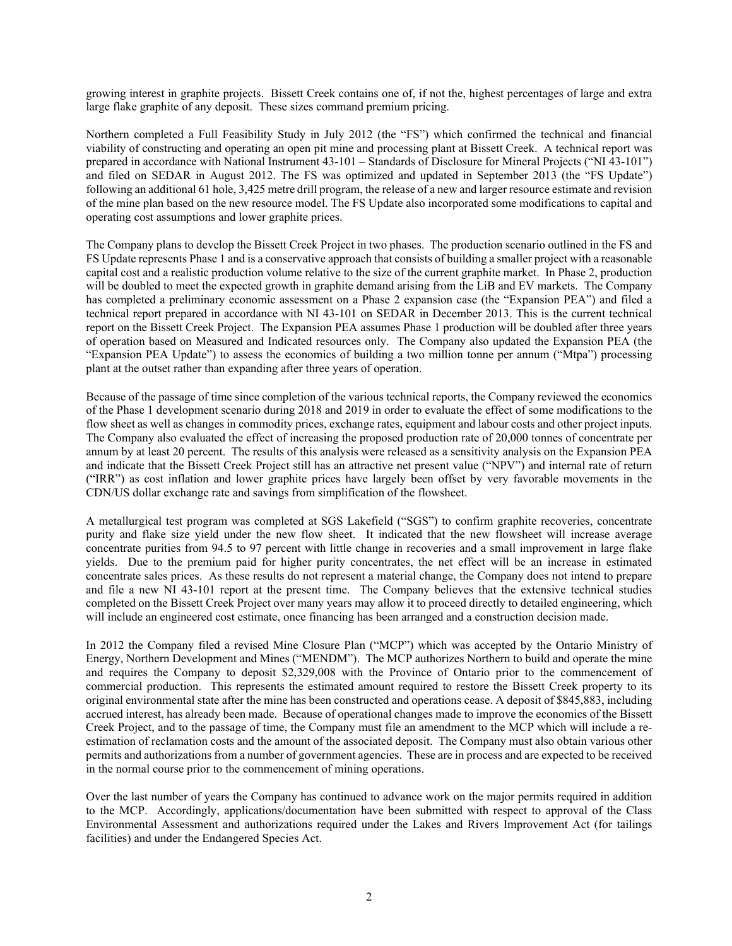growing interest in graphite projects. Bissett Creek contains one of, if not the, highest percentages of large and extra large flake graphite of any deposit. These sizes command premium pricing.

Northern completed a Full Feasibility Study in July 2012 (the "FS") which confirmed the technical and financial viability of constructing and operating an open pit mine and processing plant at Bissett Creek. A technical report was prepared in accordance with National Instrument 43-101 – Standards of Disclosure for Mineral Projects ("NI 43-101") and filed on SEDAR in August 2012. The FS was optimized and updated in September 2013 (the "FS Update") following an additional 61 hole, 3,425 metre drill program, the release of a new and larger resource estimate and revision of the mine plan based on the new resource model. The FS Update also incorporated some modifications to capital and operating cost assumptions and lower graphite prices.

The Company plans to develop the Bissett Creek Project in two phases. The production scenario outlined in the FS and FS Update represents Phase 1 and is a conservative approach that consists of building a smaller project with a reasonable capital cost and a realistic production volume relative to the size of the current graphite market. In Phase 2, production will be doubled to meet the expected growth in graphite demand arising from the LiB and EV markets. The Company has completed a preliminary economic assessment on a Phase 2 expansion case (the "Expansion PEA") and filed a technical report prepared in accordance with NI 43-101 on SEDAR in December 2013. This is the current technical report on the Bissett Creek Project. The Expansion PEA assumes Phase 1 production will be doubled after three years of operation based on Measured and Indicated resources only. The Company also updated the Expansion PEA (the "Expansion PEA Update") to assess the economics of building a two million tonne per annum ("Mtpa") processing plant at the outset rather than expanding after three years of operation.

Because of the passage of time since completion of the various technical reports, the Company reviewed the economics of the Phase 1 development scenario during 2018 and 2019 in order to evaluate the effect of some modifications to the flow sheet as well as changes in commodity prices, exchange rates, equipment and labour costs and other project inputs. The Company also evaluated the effect of increasing the proposed production rate of 20,000 tonnes of concentrate per annum by at least 20 percent. The results of this analysis were released as a sensitivity analysis on the Expansion PEA and indicate that the Bissett Creek Project still has an attractive net present value ("NPV") and internal rate of return ("IRR") as cost inflation and lower graphite prices have largely been offset by very favorable movements in the CDN/US dollar exchange rate and savings from simplification of the flowsheet.

A metallurgical test program was completed at SGS Lakefield ("SGS") to confirm graphite recoveries, concentrate purity and flake size yield under the new flow sheet. It indicated that the new flowsheet will increase average concentrate purities from 94.5 to 97 percent with little change in recoveries and a small improvement in large flake yields. Due to the premium paid for higher purity concentrates, the net effect will be an increase in estimated concentrate sales prices. As these results do not represent a material change, the Company does not intend to prepare and file a new NI 43-101 report at the present time. The Company believes that the extensive technical studies completed on the Bissett Creek Project over many years may allow it to proceed directly to detailed engineering, which will include an engineered cost estimate, once financing has been arranged and a construction decision made.

In 2012 the Company filed a revised Mine Closure Plan ("MCP") which was accepted by the Ontario Ministry of Energy, Northern Development and Mines ("MENDM"). The MCP authorizes Northern to build and operate the mine and requires the Company to deposit \$2,329,008 with the Province of Ontario prior to the commencement of commercial production. This represents the estimated amount required to restore the Bissett Creek property to its original environmental state after the mine has been constructed and operations cease. A deposit of \$845,883, including accrued interest, has already been made. Because of operational changes made to improve the economics of the Bissett Creek Project, and to the passage of time, the Company must file an amendment to the MCP which will include a reestimation of reclamation costs and the amount of the associated deposit. The Company must also obtain various other permits and authorizations from a number of government agencies. These are in process and are expected to be received in the normal course prior to the commencement of mining operations.

Over the last number of years the Company has continued to advance work on the major permits required in addition to the MCP. Accordingly, applications/documentation have been submitted with respect to approval of the Class Environmental Assessment and authorizations required under the Lakes and Rivers Improvement Act (for tailings facilities) and under the Endangered Species Act.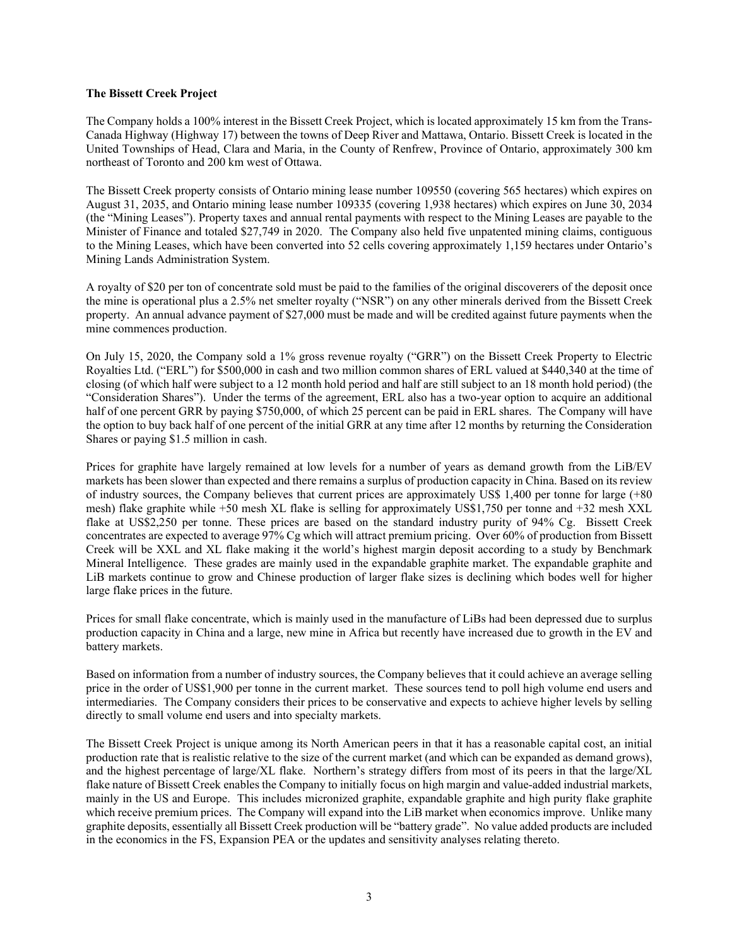### **The Bissett Creek Project**

The Company holds a 100% interest in the Bissett Creek Project, which is located approximately 15 km from the Trans-Canada Highway (Highway 17) between the towns of Deep River and Mattawa, Ontario. Bissett Creek is located in the United Townships of Head, Clara and Maria, in the County of Renfrew, Province of Ontario, approximately 300 km northeast of Toronto and 200 km west of Ottawa.

The Bissett Creek property consists of Ontario mining lease number 109550 (covering 565 hectares) which expires on August 31, 2035, and Ontario mining lease number 109335 (covering 1,938 hectares) which expires on June 30, 2034 (the "Mining Leases"). Property taxes and annual rental payments with respect to the Mining Leases are payable to the Minister of Finance and totaled \$27,749 in 2020. The Company also held five unpatented mining claims, contiguous to the Mining Leases, which have been converted into 52 cells covering approximately 1,159 hectares under Ontario's Mining Lands Administration System.

A royalty of \$20 per ton of concentrate sold must be paid to the families of the original discoverers of the deposit once the mine is operational plus a 2.5% net smelter royalty ("NSR") on any other minerals derived from the Bissett Creek property. An annual advance payment of \$27,000 must be made and will be credited against future payments when the mine commences production.

On July 15, 2020, the Company sold a 1% gross revenue royalty ("GRR") on the Bissett Creek Property to Electric Royalties Ltd. ("ERL") for \$500,000 in cash and two million common shares of ERL valued at \$440,340 at the time of closing (of which half were subject to a 12 month hold period and half are still subject to an 18 month hold period) (the "Consideration Shares"). Under the terms of the agreement, ERL also has a two-year option to acquire an additional half of one percent GRR by paying \$750,000, of which 25 percent can be paid in ERL shares. The Company will have the option to buy back half of one percent of the initial GRR at any time after 12 months by returning the Consideration Shares or paying \$1.5 million in cash.

Prices for graphite have largely remained at low levels for a number of years as demand growth from the LiB/EV markets has been slower than expected and there remains a surplus of production capacity in China. Based on its review of industry sources, the Company believes that current prices are approximately US\$ 1,400 per tonne for large (+80 mesh) flake graphite while +50 mesh XL flake is selling for approximately US\$1,750 per tonne and +32 mesh XXL flake at US\$2,250 per tonne. These prices are based on the standard industry purity of 94% Cg. Bissett Creek concentrates are expected to average 97% Cg which will attract premium pricing. Over 60% of production from Bissett Creek will be XXL and XL flake making it the world's highest margin deposit according to a study by Benchmark Mineral Intelligence. These grades are mainly used in the expandable graphite market. The expandable graphite and LiB markets continue to grow and Chinese production of larger flake sizes is declining which bodes well for higher large flake prices in the future.

Prices for small flake concentrate, which is mainly used in the manufacture of LiBs had been depressed due to surplus production capacity in China and a large, new mine in Africa but recently have increased due to growth in the EV and battery markets.

Based on information from a number of industry sources, the Company believes that it could achieve an average selling price in the order of US\$1,900 per tonne in the current market. These sources tend to poll high volume end users and intermediaries. The Company considers their prices to be conservative and expects to achieve higher levels by selling directly to small volume end users and into specialty markets.

The Bissett Creek Project is unique among its North American peers in that it has a reasonable capital cost, an initial production rate that is realistic relative to the size of the current market (and which can be expanded as demand grows), and the highest percentage of large/XL flake. Northern's strategy differs from most of its peers in that the large/XL flake nature of Bissett Creek enables the Company to initially focus on high margin and value-added industrial markets, mainly in the US and Europe. This includes micronized graphite, expandable graphite and high purity flake graphite which receive premium prices. The Company will expand into the LiB market when economics improve. Unlike many graphite deposits, essentially all Bissett Creek production will be "battery grade". No value added products are included in the economics in the FS, Expansion PEA or the updates and sensitivity analyses relating thereto.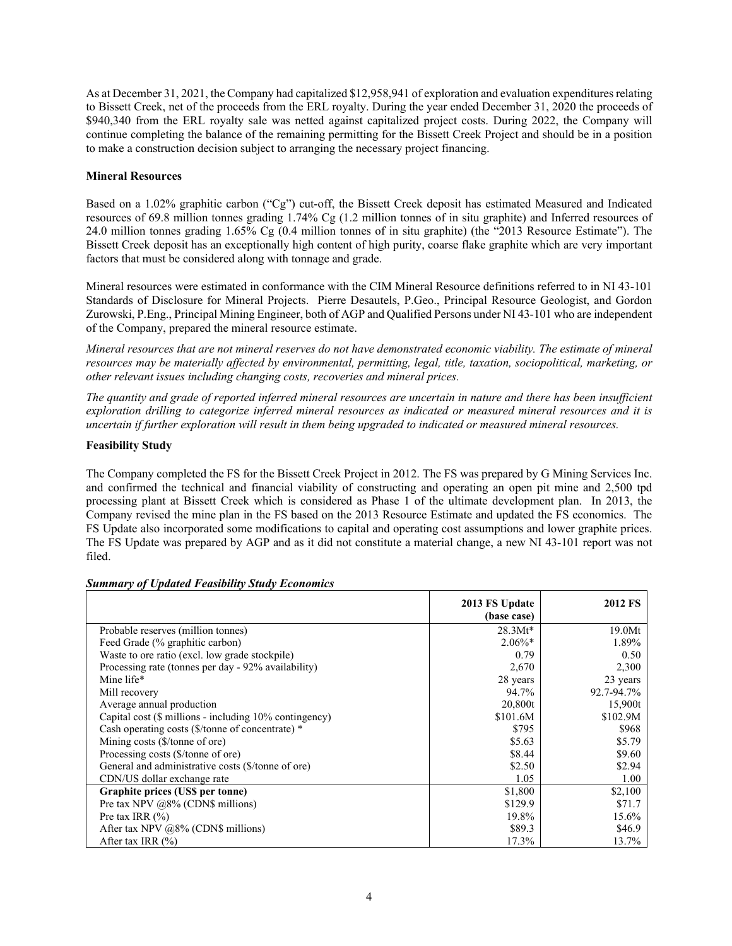As at December 31, 2021, the Company had capitalized \$12,958,941 of exploration and evaluation expenditures relating to Bissett Creek, net of the proceeds from the ERL royalty. During the year ended December 31, 2020 the proceeds of \$940,340 from the ERL royalty sale was netted against capitalized project costs. During 2022, the Company will continue completing the balance of the remaining permitting for the Bissett Creek Project and should be in a position to make a construction decision subject to arranging the necessary project financing.

# **Mineral Resources**

Based on a 1.02% graphitic carbon ("Cg") cut-off, the Bissett Creek deposit has estimated Measured and Indicated resources of 69.8 million tonnes grading 1.74% Cg (1.2 million tonnes of in situ graphite) and Inferred resources of 24.0 million tonnes grading 1.65% Cg (0.4 million tonnes of in situ graphite) (the "2013 Resource Estimate"). The Bissett Creek deposit has an exceptionally high content of high purity, coarse flake graphite which are very important factors that must be considered along with tonnage and grade.

Mineral resources were estimated in conformance with the CIM Mineral Resource definitions referred to in NI 43-101 Standards of Disclosure for Mineral Projects. Pierre Desautels, P.Geo., Principal Resource Geologist, and Gordon Zurowski, P.Eng., Principal Mining Engineer, both of AGP and Qualified Persons under NI 43-101 who are independent of the Company, prepared the mineral resource estimate.

*Mineral resources that are not mineral reserves do not have demonstrated economic viability. The estimate of mineral resources may be materially affected by environmental, permitting, legal, title, taxation, sociopolitical, marketing, or other relevant issues including changing costs, recoveries and mineral prices.*

*The quantity and grade of reported inferred mineral resources are uncertain in nature and there has been insufficient exploration drilling to categorize inferred mineral resources as indicated or measured mineral resources and it is uncertain if further exploration will result in them being upgraded to indicated or measured mineral resources.*

# **Feasibility Study**

The Company completed the FS for the Bissett Creek Project in 2012. The FS was prepared by G Mining Services Inc. and confirmed the technical and financial viability of constructing and operating an open pit mine and 2,500 tpd processing plant at Bissett Creek which is considered as Phase 1 of the ultimate development plan. In 2013, the Company revised the mine plan in the FS based on the 2013 Resource Estimate and updated the FS economics. The FS Update also incorporated some modifications to capital and operating cost assumptions and lower graphite prices. The FS Update was prepared by AGP and as it did not constitute a material change, a new NI 43-101 report was not filed.

|                                                        | 2013 FS Update<br>(base case) | <b>2012 FS</b> |
|--------------------------------------------------------|-------------------------------|----------------|
| Probable reserves (million tonnes)                     | $28.3Mt*$                     | 19.0Mt         |
| Feed Grade (% graphitic carbon)                        | $2.06\%*$                     | 1.89%          |
| Waste to ore ratio (excl. low grade stockpile)         | 0.79                          | 0.50           |
| Processing rate (tonnes per day - 92% availability)    | 2,670                         | 2,300          |
| Mine life*                                             | 28 years                      | 23 years       |
| Mill recovery                                          | 94.7%                         | 92.7-94.7%     |
| Average annual production                              | 20,800t                       | 15,900t        |
| Capital cost (\$ millions - including 10% contingency) | \$101.6M                      | \$102.9M       |
| Cash operating costs (\$/tonne of concentrate) *       | \$795                         | \$968          |
| Mining costs (\$/tonne of ore)                         | \$5.63                        | \$5.79         |
| Processing costs (\$/tonne of ore)                     | \$8.44                        | \$9.60         |
| General and administrative costs (\$/tonne of ore)     | \$2.50                        | \$2.94         |
| CDN/US dollar exchange rate                            | 1.05                          | 1.00           |
| Graphite prices (US\$ per tonne)                       | \$1,800                       | \$2,100        |
| Pre tax NPV $@8\%$ (CDN\$ millions)                    | \$129.9                       | \$71.7         |
| Pre tax IRR $(\% )$                                    | 19.8%                         | 15.6%          |
| After tax NPV $@8\%$ (CDN\$ millions)                  | \$89.3                        | \$46.9         |
| After tax IRR $(\% )$                                  | 17.3%                         | 13.7%          |

#### *Summary of Updated Feasibility Study Economics*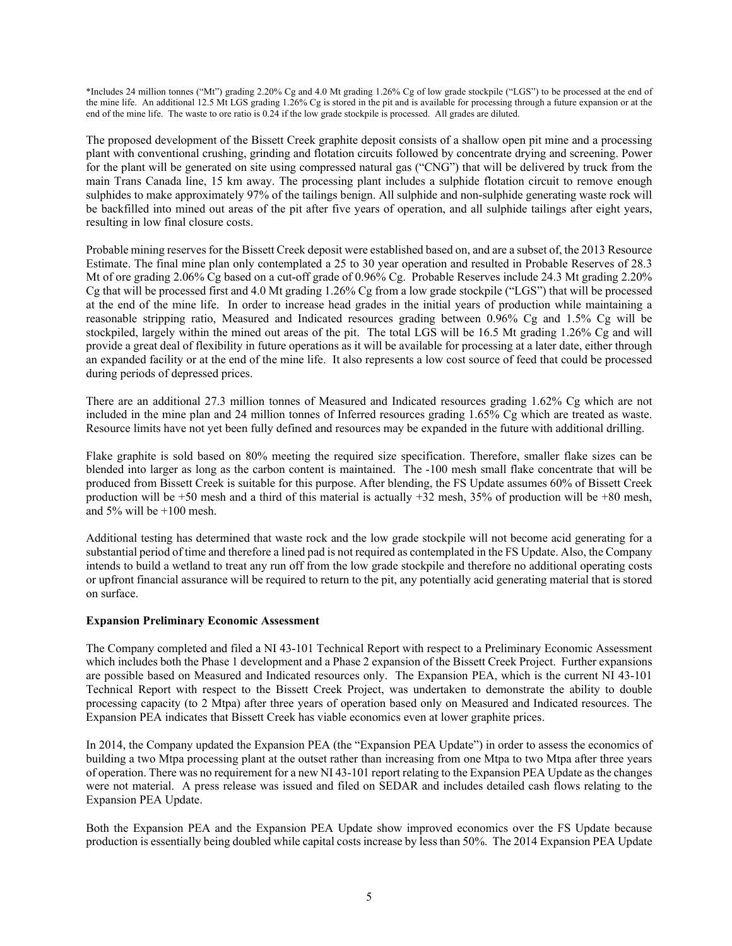\*Includes 24 million tonnes ("Mt") grading 2.20% Cg and 4.0 Mt grading 1.26% Cg of low grade stockpile ("LGS") to be processed at the end of the mine life. An additional 12.5 Mt LGS grading 1.26% Cg is stored in the pit and is available for processing through a future expansion or at the end of the mine life. The waste to ore ratio is 0.24 if the low grade stockpile is processed. All grades are diluted.

The proposed development of the Bissett Creek graphite deposit consists of a shallow open pit mine and a processing plant with conventional crushing, grinding and flotation circuits followed by concentrate drying and screening. Power for the plant will be generated on site using compressed natural gas ("CNG") that will be delivered by truck from the main Trans Canada line, 15 km away. The processing plant includes a sulphide flotation circuit to remove enough sulphides to make approximately 97% of the tailings benign. All sulphide and non-sulphide generating waste rock will be backfilled into mined out areas of the pit after five years of operation, and all sulphide tailings after eight years, resulting in low final closure costs.

Probable mining reserves for the Bissett Creek deposit were established based on, and are a subset of, the 2013 Resource Estimate. The final mine plan only contemplated a 25 to 30 year operation and resulted in Probable Reserves of 28.3 Mt of ore grading 2.06% Cg based on a cut-off grade of 0.96% Cg. Probable Reserves include 24.3 Mt grading 2.20% Cg that will be processed first and 4.0 Mt grading 1.26% Cg from a low grade stockpile ("LGS") that will be processed at the end of the mine life. In order to increase head grades in the initial years of production while maintaining a reasonable stripping ratio, Measured and Indicated resources grading between 0.96% Cg and 1.5% Cg will be stockpiled, largely within the mined out areas of the pit. The total LGS will be 16.5 Mt grading 1.26% Cg and will provide a great deal of flexibility in future operations as it will be available for processing at a later date, either through an expanded facility or at the end of the mine life. It also represents a low cost source of feed that could be processed during periods of depressed prices.

There are an additional 27.3 million tonnes of Measured and Indicated resources grading 1.62% Cg which are not included in the mine plan and 24 million tonnes of Inferred resources grading 1.65% Cg which are treated as waste. Resource limits have not yet been fully defined and resources may be expanded in the future with additional drilling.

Flake graphite is sold based on 80% meeting the required size specification. Therefore, smaller flake sizes can be blended into larger as long as the carbon content is maintained. The -100 mesh small flake concentrate that will be produced from Bissett Creek is suitable for this purpose. After blending, the FS Update assumes 60% of Bissett Creek production will be +50 mesh and a third of this material is actually +32 mesh, 35% of production will be +80 mesh, and  $5\%$  will be  $+100$  mesh.

Additional testing has determined that waste rock and the low grade stockpile will not become acid generating for a substantial period of time and therefore a lined pad is not required as contemplated in the FS Update. Also, the Company intends to build a wetland to treat any run off from the low grade stockpile and therefore no additional operating costs or upfront financial assurance will be required to return to the pit, any potentially acid generating material that is stored on surface.

#### **Expansion Preliminary Economic Assessment**

The Company completed and filed a NI 43-101 Technical Report with respect to a Preliminary Economic Assessment which includes both the Phase 1 development and a Phase 2 expansion of the Bissett Creek Project. Further expansions are possible based on Measured and Indicated resources only. The Expansion PEA, which is the current NI 43-101 Technical Report with respect to the Bissett Creek Project, was undertaken to demonstrate the ability to double processing capacity (to 2 Mtpa) after three years of operation based only on Measured and Indicated resources. The Expansion PEA indicates that Bissett Creek has viable economics even at lower graphite prices.

In 2014, the Company updated the Expansion PEA (the "Expansion PEA Update") in order to assess the economics of building a two Mtpa processing plant at the outset rather than increasing from one Mtpa to two Mtpa after three years of operation. There was no requirement for a new NI 43-101 report relating to the Expansion PEA Update as the changes were not material. A press release was issued and filed on SEDAR and includes detailed cash flows relating to the Expansion PEA Update.

Both the Expansion PEA and the Expansion PEA Update show improved economics over the FS Update because production is essentially being doubled while capital costs increase by less than 50%. The 2014 Expansion PEA Update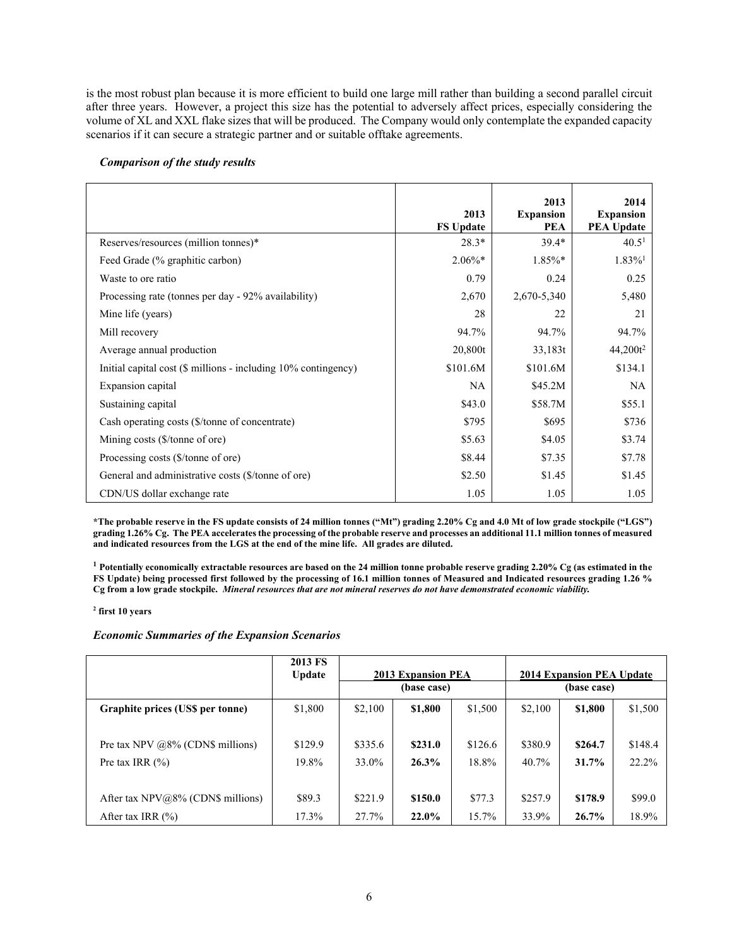is the most robust plan because it is more efficient to build one large mill rather than building a second parallel circuit after three years. However, a project this size has the potential to adversely affect prices, especially considering the volume of XL and XXL flake sizes that will be produced. The Company would only contemplate the expanded capacity scenarios if it can secure a strategic partner and or suitable offtake agreements.

|                                                                | 2013<br><b>FS Update</b> | 2013<br><b>Expansion</b><br><b>PEA</b> | 2014<br><b>Expansion</b><br><b>PEA Update</b> |
|----------------------------------------------------------------|--------------------------|----------------------------------------|-----------------------------------------------|
| Reserves/resources (million tonnes)*                           | $28.3*$                  | $39.4*$                                | 40.5 <sup>1</sup>                             |
| Feed Grade (% graphitic carbon)                                | $2.06\%*$                | $1.85\%*$                              | $1.83\%$ <sup>1</sup>                         |
| Waste to ore ratio                                             | 0.79                     | 0.24                                   | 0.25                                          |
| Processing rate (tonnes per day - 92% availability)            | 2,670                    | 2,670-5,340                            | 5,480                                         |
| Mine life (years)                                              | 28                       | 22                                     | 21                                            |
| Mill recovery                                                  | 94.7%                    | 94.7%                                  | 94.7%                                         |
| Average annual production                                      | 20,800t                  | 33,183t                                | $44,200t^2$                                   |
| Initial capital cost (\$ millions - including 10% contingency) | \$101.6M                 | \$101.6M                               | \$134.1                                       |
| Expansion capital                                              | <b>NA</b>                | \$45.2M\$                              | NA                                            |
| Sustaining capital                                             | \$43.0                   | \$58.7M                                | \$55.1                                        |
| Cash operating costs (\$/tonne of concentrate)                 | \$795                    | \$695                                  | \$736                                         |
| Mining costs (\$/tonne of ore)                                 | \$5.63                   | \$4.05                                 | \$3.74                                        |
| Processing costs (\$/tonne of ore)                             | \$8.44                   | \$7.35                                 | \$7.78                                        |
| General and administrative costs (\$/tonne of ore)             | \$2.50                   | \$1.45                                 | \$1.45                                        |
| CDN/US dollar exchange rate                                    | 1.05                     | 1.05                                   | 1.05                                          |

#### *Comparison of the study results*

**\*The probable reserve in the FS update consists of 24 million tonnes ("Mt") grading 2.20% Cg and 4.0 Mt of low grade stockpile ("LGS") grading 1.26% Cg. The PEA accelerates the processing of the probable reserve and processes an additional 11.1 million tonnes of measured and indicated resources from the LGS at the end of the mine life. All grades are diluted.**

**<sup>1</sup> Potentially economically extractable resources are based on the 24 million tonne probable reserve grading 2.20% Cg (as estimated in the FS Update) being processed first followed by the processing of 16.1 million tonnes of Measured and Indicated resources grading 1.26 % Cg from a low grade stockpile.** *Mineral resources that are not mineral reserves do not have demonstrated economic viability.* 

#### **<sup>2</sup> first 10 years**

# *Economic Summaries of the Expansion Scenarios*

|                                     | 2013 FS<br><b>Update</b> | <b>2013 Expansion PEA</b><br>(base case) |         | 2014 Expansion PEA Update<br>(base case) |         |          |         |
|-------------------------------------|--------------------------|------------------------------------------|---------|------------------------------------------|---------|----------|---------|
| Graphite prices (US\$ per tonne)    | \$1,800                  | \$2,100                                  | \$1,800 | \$1,500                                  | \$2,100 | \$1,800  | \$1,500 |
|                                     |                          |                                          |         |                                          |         |          |         |
| Pre tax NPV $@8\%$ (CDN\$ millions) | \$129.9                  | \$335.6                                  | \$231.0 | \$126.6                                  | \$380.9 | \$264.7  | \$148.4 |
| Pre tax IRR $(\% )$                 | 19.8%                    | 33.0%                                    | 26.3%   | 18.8%                                    | 40.7%   | $31.7\%$ | 22.2%   |
|                                     |                          |                                          |         |                                          |         |          |         |
| After tax $NPV@8%$ (CDN\$ millions) | \$89.3                   | \$221.9                                  | \$150.0 | \$77.3                                   | \$257.9 | \$178.9  | \$99.0  |
| After tax IRR $(\% )$               | 17.3%                    | 27.7%                                    | 22.0%   | 15.7%                                    | 33.9%   | 26.7%    | 18.9%   |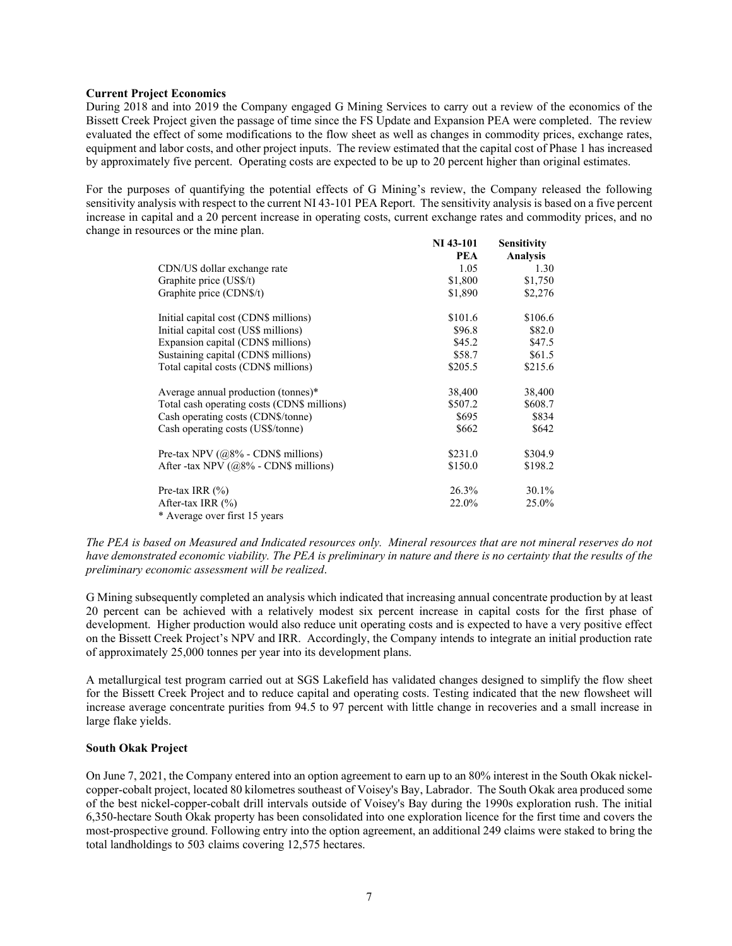### **Current Project Economics**

During 2018 and into 2019 the Company engaged G Mining Services to carry out a review of the economics of the Bissett Creek Project given the passage of time since the FS Update and Expansion PEA were completed. The review evaluated the effect of some modifications to the flow sheet as well as changes in commodity prices, exchange rates, equipment and labor costs, and other project inputs. The review estimated that the capital cost of Phase 1 has increased by approximately five percent. Operating costs are expected to be up to 20 percent higher than original estimates.

For the purposes of quantifying the potential effects of G Mining's review, the Company released the following sensitivity analysis with respect to the current NI 43-101 PEA Report. The sensitivity analysis is based on a five percent increase in capital and a 20 percent increase in operating costs, current exchange rates and commodity prices, and no change in resources or the mine plan. **NI 43-101**

|                                             | <b>NI</b> 43-101 | <b>Sensitivity</b> |
|---------------------------------------------|------------------|--------------------|
|                                             | <b>PEA</b>       | <b>Analysis</b>    |
| CDN/US dollar exchange rate                 | 1.05             | 1.30               |
| Graphite price (US\$/t)                     | \$1,800          | \$1,750            |
| Graphite price (CDN\$/t)                    | \$1,890          | \$2,276            |
| Initial capital cost (CDN\$ millions)       | \$101.6          | \$106.6            |
| Initial capital cost (US\$ millions)        | \$96.8           | \$82.0             |
| Expansion capital (CDN\$ millions)          | \$45.2           | \$47.5             |
| Sustaining capital (CDN\$ millions)         | \$58.7           | \$61.5             |
| Total capital costs (CDN\$ millions)        | \$205.5          | \$215.6            |
| Average annual production (tonnes)*         | 38,400           | 38,400             |
| Total cash operating costs (CDN\$ millions) | \$507.2          | \$608.7            |
| Cash operating costs (CDN\$/tonne)          | \$695            | \$834              |
| Cash operating costs (US\$/tonne)           | \$662            | \$642              |
| Pre-tax NPV $(a8\% - CDN\$ millions)        | \$231.0          | \$304.9            |
| After -tax NPV $(@8\%$ - CDN\$ millions)    | \$150.0          | \$198.2            |
| Pre-tax IRR $(\% )$                         | 26.3%            | 30.1%              |
| After-tax IRR $(\% )$                       | 22.0%            | 25.0%              |
| * Average over first 15 years               |                  |                    |

*The PEA is based on Measured and Indicated resources only. Mineral resources that are not mineral reserves do not have demonstrated economic viability. The PEA is preliminary in nature and there is no certainty that the results of the preliminary economic assessment will be realized*.

G Mining subsequently completed an analysis which indicated that increasing annual concentrate production by at least 20 percent can be achieved with a relatively modest six percent increase in capital costs for the first phase of development. Higher production would also reduce unit operating costs and is expected to have a very positive effect on the Bissett Creek Project's NPV and IRR. Accordingly, the Company intends to integrate an initial production rate of approximately 25,000 tonnes per year into its development plans.

A metallurgical test program carried out at SGS Lakefield has validated changes designed to simplify the flow sheet for the Bissett Creek Project and to reduce capital and operating costs. Testing indicated that the new flowsheet will increase average concentrate purities from 94.5 to 97 percent with little change in recoveries and a small increase in large flake yields.

# **South Okak Project**

On June 7, 2021, the Company entered into an option agreement to earn up to an 80% interest in the South Okak nickelcopper-cobalt project, located 80 kilometres southeast of Voisey's Bay, Labrador. The South Okak area produced some of the best nickel-copper-cobalt drill intervals outside of Voisey's Bay during the 1990s exploration rush. The initial 6,350-hectare South Okak property has been consolidated into one exploration licence for the first time and covers the most-prospective ground. Following entry into the option agreement, an additional 249 claims were staked to bring the total landholdings to 503 claims covering 12,575 hectares.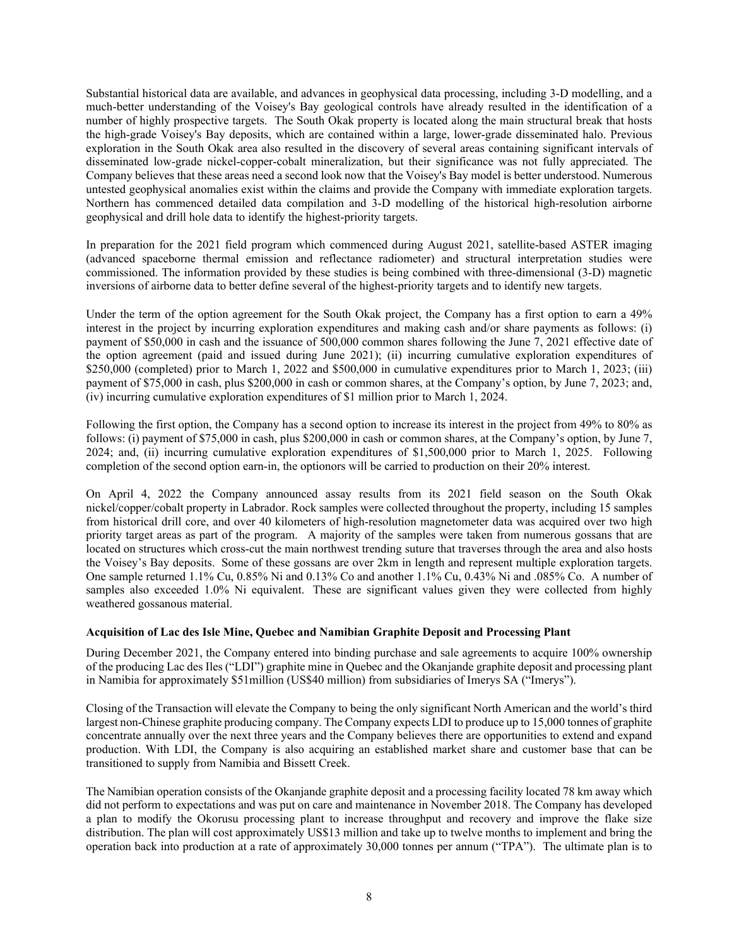Substantial historical data are available, and advances in geophysical data processing, including 3-D modelling, and a much-better understanding of the Voisey's Bay geological controls have already resulted in the identification of a number of highly prospective targets. The South Okak property is located along the main structural break that hosts the high-grade Voisey's Bay deposits, which are contained within a large, lower-grade disseminated halo. Previous exploration in the South Okak area also resulted in the discovery of several areas containing significant intervals of disseminated low-grade nickel-copper-cobalt mineralization, but their significance was not fully appreciated. The Company believes that these areas need a second look now that the Voisey's Bay model is better understood. Numerous untested geophysical anomalies exist within the claims and provide the Company with immediate exploration targets. Northern has commenced detailed data compilation and 3-D modelling of the historical high-resolution airborne geophysical and drill hole data to identify the highest-priority targets.

In preparation for the 2021 field program which commenced during August 2021, satellite-based ASTER imaging (advanced spaceborne thermal emission and reflectance radiometer) and structural interpretation studies were commissioned. The information provided by these studies is being combined with three-dimensional (3-D) magnetic inversions of airborne data to better define several of the highest-priority targets and to identify new targets.

Under the term of the option agreement for the South Okak project, the Company has a first option to earn a 49% interest in the project by incurring exploration expenditures and making cash and/or share payments as follows: (i) payment of \$50,000 in cash and the issuance of 500,000 common shares following the June 7, 2021 effective date of the option agreement (paid and issued during June 2021); (ii) incurring cumulative exploration expenditures of \$250,000 (completed) prior to March 1, 2022 and \$500,000 in cumulative expenditures prior to March 1, 2023; (iii) payment of \$75,000 in cash, plus \$200,000 in cash or common shares, at the Company's option, by June 7, 2023; and, (iv) incurring cumulative exploration expenditures of \$1 million prior to March 1, 2024.

Following the first option, the Company has a second option to increase its interest in the project from 49% to 80% as follows: (i) payment of \$75,000 in cash, plus \$200,000 in cash or common shares, at the Company's option, by June 7, 2024; and, (ii) incurring cumulative exploration expenditures of \$1,500,000 prior to March 1, 2025. Following completion of the second option earn-in, the optionors will be carried to production on their 20% interest.

On April 4, 2022 the Company announced assay results from its 2021 field season on the South Okak nickel/copper/cobalt property in Labrador. Rock samples were collected throughout the property, including 15 samples from historical drill core, and over 40 kilometers of high-resolution magnetometer data was acquired over two high priority target areas as part of the program. A majority of the samples were taken from numerous gossans that are located on structures which cross-cut the main northwest trending suture that traverses through the area and also hosts the Voisey's Bay deposits. Some of these gossans are over 2km in length and represent multiple exploration targets. One sample returned 1.1% Cu, 0.85% Ni and 0.13% Co and another 1.1% Cu, 0.43% Ni and .085% Co. A number of samples also exceeded 1.0% Ni equivalent. These are significant values given they were collected from highly weathered gossanous material.

#### **Acquisition of Lac des Isle Mine, Quebec and Namibian Graphite Deposit and Processing Plant**

During December 2021, the Company entered into binding purchase and sale agreements to acquire 100% ownership of the producing Lac des Iles ("LDI") graphite mine in Quebec and the Okanjande graphite deposit and processing plant in Namibia for approximately \$51million (US\$40 million) from subsidiaries of Imerys SA ("Imerys").

Closing of the Transaction will elevate the Company to being the only significant North American and the world's third largest non-Chinese graphite producing company. The Company expects LDI to produce up to 15,000 tonnes of graphite concentrate annually over the next three years and the Company believes there are opportunities to extend and expand production. With LDI, the Company is also acquiring an established market share and customer base that can be transitioned to supply from Namibia and Bissett Creek.

The Namibian operation consists of the Okanjande graphite deposit and a processing facility located 78 km away which did not perform to expectations and was put on care and maintenance in November 2018. The Company has developed a plan to modify the Okorusu processing plant to increase throughput and recovery and improve the flake size distribution. The plan will cost approximately US\$13 million and take up to twelve months to implement and bring the operation back into production at a rate of approximately 30,000 tonnes per annum ("TPA"). The ultimate plan is to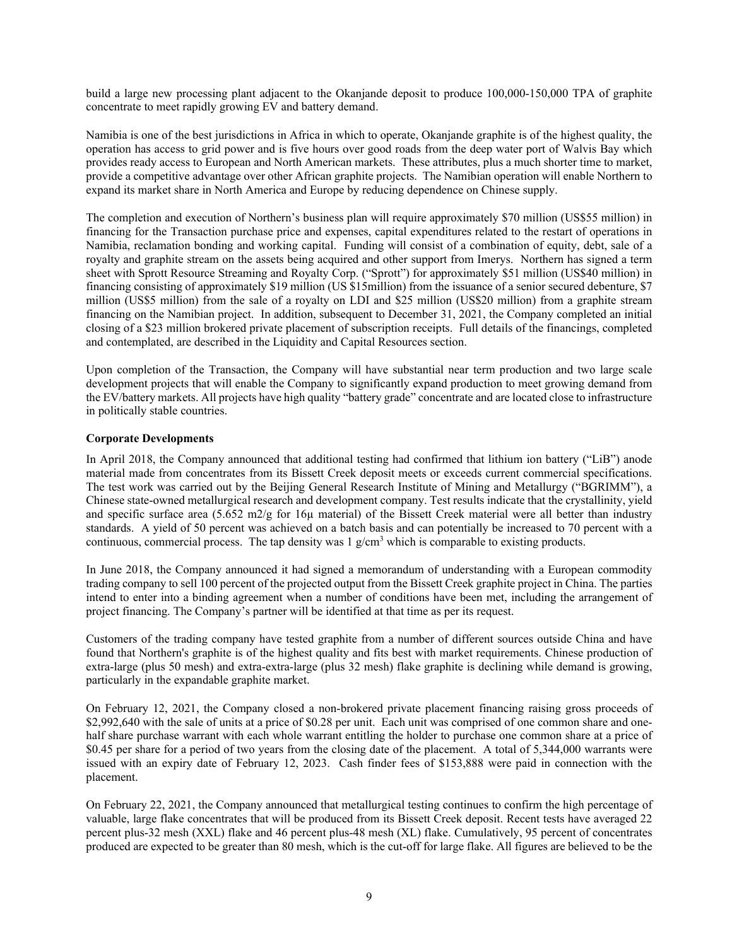build a large new processing plant adjacent to the Okanjande deposit to produce 100,000-150,000 TPA of graphite concentrate to meet rapidly growing EV and battery demand.

Namibia is one of the best jurisdictions in Africa in which to operate, Okanjande graphite is of the highest quality, the operation has access to grid power and is five hours over good roads from the deep water port of Walvis Bay which provides ready access to European and North American markets. These attributes, plus a much shorter time to market, provide a competitive advantage over other African graphite projects. The Namibian operation will enable Northern to expand its market share in North America and Europe by reducing dependence on Chinese supply.

The completion and execution of Northern's business plan will require approximately \$70 million (US\$55 million) in financing for the Transaction purchase price and expenses, capital expenditures related to the restart of operations in Namibia, reclamation bonding and working capital. Funding will consist of a combination of equity, debt, sale of a royalty and graphite stream on the assets being acquired and other support from Imerys. Northern has signed a term sheet with Sprott Resource Streaming and Royalty Corp. ("Sprott") for approximately \$51 million (US\$40 million) in financing consisting of approximately \$19 million (US \$15million) from the issuance of a senior secured debenture, \$7 million (US\$5 million) from the sale of a royalty on LDI and \$25 million (US\$20 million) from a graphite stream financing on the Namibian project. In addition, subsequent to December 31, 2021, the Company completed an initial closing of a \$23 million brokered private placement of subscription receipts. Full details of the financings, completed and contemplated, are described in the Liquidity and Capital Resources section.

Upon completion of the Transaction, the Company will have substantial near term production and two large scale development projects that will enable the Company to significantly expand production to meet growing demand from the EV/battery markets. All projects have high quality "battery grade" concentrate and are located close to infrastructure in politically stable countries.

# **Corporate Developments**

In April 2018, the Company announced that additional testing had confirmed that lithium ion battery ("LiB") anode material made from concentrates from its Bissett Creek deposit meets or exceeds current commercial specifications. The test work was carried out by the Beijing General Research Institute of Mining and Metallurgy ("BGRIMM"), a Chinese state-owned metallurgical research and development company. Test results indicate that the crystallinity, yield and specific surface area (5.652 m2/g for 16 $\mu$  material) of the Bissett Creek material were all better than industry standards. A yield of 50 percent was achieved on a batch basis and can potentially be increased to 70 percent with a continuous, commercial process. The tap density was  $1 \text{ g/cm}^3$  which is comparable to existing products.

In June 2018, the Company announced it had signed a memorandum of understanding with a European commodity trading company to sell 100 percent of the projected output from the Bissett Creek graphite project in China. The parties intend to enter into a binding agreement when a number of conditions have been met, including the arrangement of project financing. The Company's partner will be identified at that time as per its request.

Customers of the trading company have tested graphite from a number of different sources outside China and have found that Northern's graphite is of the highest quality and fits best with market requirements. Chinese production of extra-large (plus 50 mesh) and extra-extra-large (plus 32 mesh) flake graphite is declining while demand is growing, particularly in the expandable graphite market.

On February 12, 2021, the Company closed a non-brokered private placement financing raising gross proceeds of \$2,992,640 with the sale of units at a price of \$0.28 per unit. Each unit was comprised of one common share and onehalf share purchase warrant with each whole warrant entitling the holder to purchase one common share at a price of \$0.45 per share for a period of two years from the closing date of the placement. A total of 5,344,000 warrants were issued with an expiry date of February 12, 2023. Cash finder fees of \$153,888 were paid in connection with the placement.

On February 22, 2021, the Company announced that metallurgical testing continues to confirm the high percentage of valuable, large flake concentrates that will be produced from its Bissett Creek deposit. Recent tests have averaged 22 percent plus-32 mesh (XXL) flake and 46 percent plus-48 mesh (XL) flake. Cumulatively, 95 percent of concentrates produced are expected to be greater than 80 mesh, which is the cut-off for large flake. All figures are believed to be the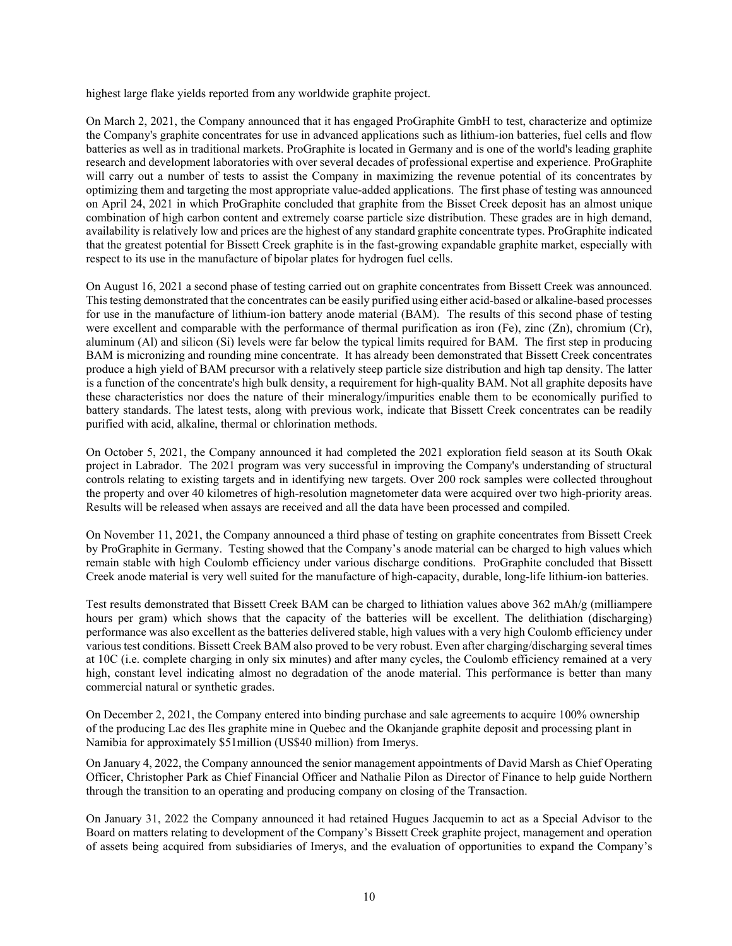highest large flake yields reported from any worldwide graphite project.

On March 2, 2021, the Company announced that it has engaged ProGraphite GmbH to test, characterize and optimize the Company's graphite concentrates for use in advanced applications such as lithium-ion batteries, fuel cells and flow batteries as well as in traditional markets. ProGraphite is located in Germany and is one of the world's leading graphite research and development laboratories with over several decades of professional expertise and experience. ProGraphite will carry out a number of tests to assist the Company in maximizing the revenue potential of its concentrates by optimizing them and targeting the most appropriate value-added applications. The first phase of testing was announced on April 24, 2021 in which ProGraphite concluded that graphite from the Bisset Creek deposit has an almost unique combination of high carbon content and extremely coarse particle size distribution. These grades are in high demand, availability is relatively low and prices are the highest of any standard graphite concentrate types. ProGraphite indicated that the greatest potential for Bissett Creek graphite is in the fast-growing expandable graphite market, especially with respect to its use in the manufacture of bipolar plates for hydrogen fuel cells.

On August 16, 2021 a second phase of testing carried out on graphite concentrates from Bissett Creek was announced. This testing demonstrated that the concentrates can be easily purified using either acid-based or alkaline-based processes for use in the manufacture of lithium-ion battery anode material (BAM). The results of this second phase of testing were excellent and comparable with the performance of thermal purification as iron (Fe), zinc (Zn), chromium (Cr), aluminum (Al) and silicon (Si) levels were far below the typical limits required for BAM. The first step in producing BAM is micronizing and rounding mine concentrate. It has already been demonstrated that Bissett Creek concentrates produce a high yield of BAM precursor with a relatively steep particle size distribution and high tap density. The latter is a function of the concentrate's high bulk density, a requirement for high-quality BAM. Not all graphite deposits have these characteristics nor does the nature of their mineralogy/impurities enable them to be economically purified to battery standards. The latest tests, along with previous work, indicate that Bissett Creek concentrates can be readily purified with acid, alkaline, thermal or chlorination methods.

On October 5, 2021, the Company announced it had completed the 2021 exploration field season at its South Okak project in Labrador. The 2021 program was very successful in improving the Company's understanding of structural controls relating to existing targets and in identifying new targets. Over 200 rock samples were collected throughout the property and over 40 kilometres of high-resolution magnetometer data were acquired over two high-priority areas. Results will be released when assays are received and all the data have been processed and compiled.

On November 11, 2021, the Company announced a third phase of testing on graphite concentrates from Bissett Creek by ProGraphite in Germany. Testing showed that the Company's anode material can be charged to high values which remain stable with high Coulomb efficiency under various discharge conditions. ProGraphite concluded that Bissett Creek anode material is very well suited for the manufacture of high-capacity, durable, long-life lithium-ion batteries.

Test results demonstrated that Bissett Creek BAM can be charged to lithiation values above 362 mAh/g (milliampere hours per gram) which shows that the capacity of the batteries will be excellent. The delithiation (discharging) performance was also excellent as the batteries delivered stable, high values with a very high Coulomb efficiency under various test conditions. Bissett Creek BAM also proved to be very robust. Even after charging/discharging several times at 10C (i.e. complete charging in only six minutes) and after many cycles, the Coulomb efficiency remained at a very high, constant level indicating almost no degradation of the anode material. This performance is better than many commercial natural or synthetic grades.

On December 2, 2021, the Company entered into binding purchase and sale agreements to acquire 100% ownership of the producing Lac des Iles graphite mine in Quebec and the Okanjande graphite deposit and processing plant in Namibia for approximately \$51million (US\$40 million) from Imerys.

On January 4, 2022, the Company announced the senior management appointments of David Marsh as Chief Operating Officer, Christopher Park as Chief Financial Officer and Nathalie Pilon as Director of Finance to help guide Northern through the transition to an operating and producing company on closing of the Transaction.

On January 31, 2022 the Company announced it had retained Hugues Jacquemin to act as a Special Advisor to the Board on matters relating to development of the Company's Bissett Creek graphite project, management and operation of assets being acquired from subsidiaries of Imerys, and the evaluation of opportunities to expand the Company's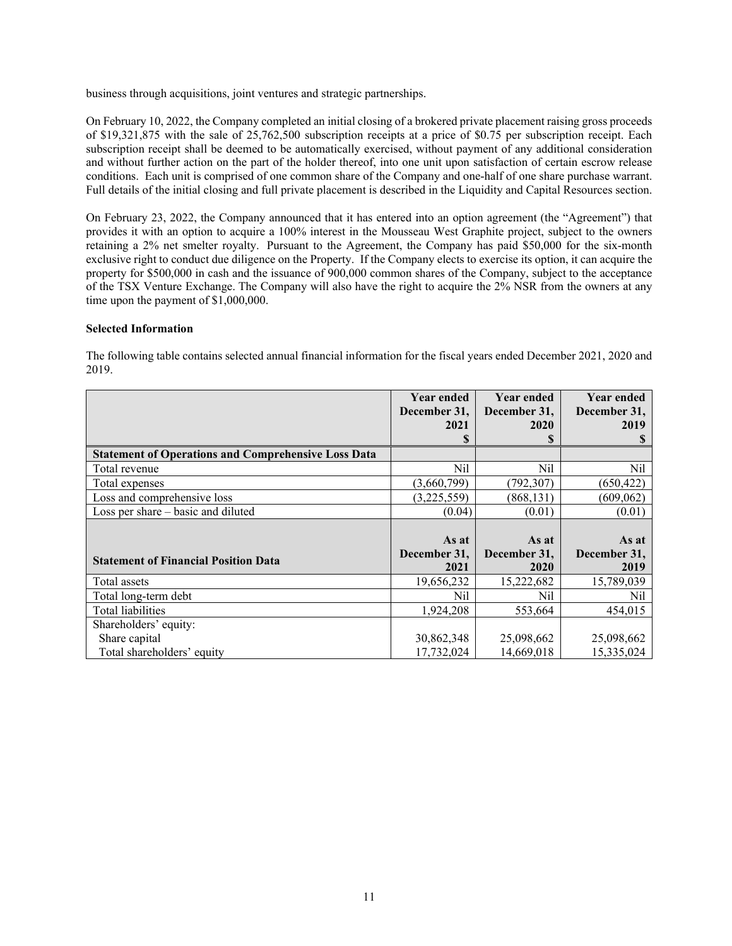business through acquisitions, joint ventures and strategic partnerships.

On February 10, 2022, the Company completed an initial closing of a brokered private placement raising gross proceeds of \$19,321,875 with the sale of 25,762,500 subscription receipts at a price of \$0.75 per subscription receipt. Each subscription receipt shall be deemed to be automatically exercised, without payment of any additional consideration and without further action on the part of the holder thereof, into one unit upon satisfaction of certain escrow release conditions. Each unit is comprised of one common share of the Company and one-half of one share purchase warrant. Full details of the initial closing and full private placement is described in the Liquidity and Capital Resources section.

On February 23, 2022, the Company announced that it has entered into an option agreement (the "Agreement") that provides it with an option to acquire a 100% interest in the Mousseau West Graphite project, subject to the owners retaining a 2% net smelter royalty. Pursuant to the Agreement, the Company has paid \$50,000 for the six-month exclusive right to conduct due diligence on the Property. If the Company elects to exercise its option, it can acquire the property for \$500,000 in cash and the issuance of 900,000 common shares of the Company, subject to the acceptance of the TSX Venture Exchange. The Company will also have the right to acquire the 2% NSR from the owners at any time upon the payment of \$1,000,000.

# **Selected Information**

|                                                            | <b>Year ended</b><br>December 31, | <b>Year ended</b><br>December 31, | <b>Year ended</b><br>December 31, |
|------------------------------------------------------------|-----------------------------------|-----------------------------------|-----------------------------------|
|                                                            | 2021                              | 2020                              | 2019                              |
|                                                            | S                                 |                                   |                                   |
| <b>Statement of Operations and Comprehensive Loss Data</b> |                                   |                                   |                                   |
| Total revenue                                              | Nil                               | Nil                               | Nil                               |
| Total expenses                                             | (3,660,799)                       | (792, 307)                        | (650, 422)                        |
| Loss and comprehensive loss                                | (3,225,559)                       | (868, 131)                        | (609,062)                         |
| Loss per share – basic and diluted                         | (0.04)                            | (0.01)                            | (0.01)                            |
|                                                            |                                   |                                   |                                   |
|                                                            | As at                             | As at                             | As at                             |
| <b>Statement of Financial Position Data</b>                | December 31,                      | December 31,                      | December 31,                      |
|                                                            | 2021                              | 2020                              | 2019                              |
| Total assets                                               | 19,656,232                        | 15,222,682                        | 15,789,039                        |
| Total long-term debt                                       | Nil                               | Nil                               | Nil                               |
| Total liabilities                                          | 1,924,208                         | 553,664                           | 454,015                           |
| Shareholders' equity:                                      |                                   |                                   |                                   |
|                                                            |                                   |                                   |                                   |
| Share capital                                              | 30,862,348                        | 25,098,662                        | 25,098,662                        |

The following table contains selected annual financial information for the fiscal years ended December 2021, 2020 and 2019.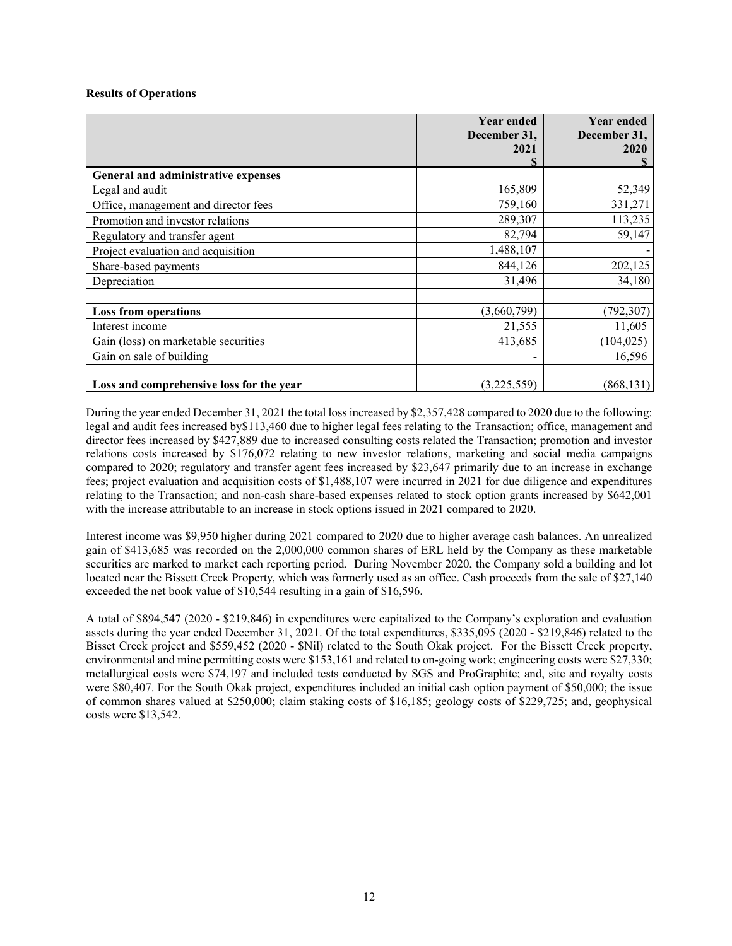# **Results of Operations**

|                                          | <b>Year ended</b><br>December 31,<br>2021 | <b>Year ended</b><br>December 31,<br>2020 |
|------------------------------------------|-------------------------------------------|-------------------------------------------|
| General and administrative expenses      |                                           |                                           |
| Legal and audit                          | 165,809                                   | 52,349                                    |
| Office, management and director fees     | 759,160                                   | 331,271                                   |
| Promotion and investor relations         | 289,307                                   | 113,235                                   |
| Regulatory and transfer agent            | 82,794                                    | 59,147                                    |
| Project evaluation and acquisition       | 1,488,107                                 |                                           |
| Share-based payments                     | 844,126                                   | 202,125                                   |
| Depreciation                             | 31,496                                    | 34,180                                    |
|                                          |                                           |                                           |
| <b>Loss from operations</b>              | (3,660,799)                               | (792, 307)                                |
| Interest income                          | 21,555                                    | 11,605                                    |
| Gain (loss) on marketable securities     | 413,685                                   | (104, 025)                                |
| Gain on sale of building                 |                                           | 16,596                                    |
| Loss and comprehensive loss for the year | (3,225,559)                               | (868, 131)                                |

During the year ended December 31, 2021 the total loss increased by \$2,357,428 compared to 2020 due to the following: legal and audit fees increased by\$113,460 due to higher legal fees relating to the Transaction; office, management and director fees increased by \$427,889 due to increased consulting costs related the Transaction; promotion and investor relations costs increased by \$176,072 relating to new investor relations, marketing and social media campaigns compared to 2020; regulatory and transfer agent fees increased by \$23,647 primarily due to an increase in exchange fees; project evaluation and acquisition costs of \$1,488,107 were incurred in 2021 for due diligence and expenditures relating to the Transaction; and non-cash share-based expenses related to stock option grants increased by \$642,001 with the increase attributable to an increase in stock options issued in 2021 compared to 2020.

Interest income was \$9,950 higher during 2021 compared to 2020 due to higher average cash balances. An unrealized gain of \$413,685 was recorded on the 2,000,000 common shares of ERL held by the Company as these marketable securities are marked to market each reporting period. During November 2020, the Company sold a building and lot located near the Bissett Creek Property, which was formerly used as an office. Cash proceeds from the sale of \$27,140 exceeded the net book value of \$10,544 resulting in a gain of \$16,596.

A total of \$894,547 (2020 - \$219,846) in expenditures were capitalized to the Company's exploration and evaluation assets during the year ended December 31, 2021. Of the total expenditures, \$335,095 (2020 - \$219,846) related to the Bisset Creek project and \$559,452 (2020 - \$Nil) related to the South Okak project. For the Bissett Creek property, environmental and mine permitting costs were \$153,161 and related to on-going work; engineering costs were \$27,330; metallurgical costs were \$74,197 and included tests conducted by SGS and ProGraphite; and, site and royalty costs were \$80,407. For the South Okak project, expenditures included an initial cash option payment of \$50,000; the issue of common shares valued at \$250,000; claim staking costs of \$16,185; geology costs of \$229,725; and, geophysical costs were \$13,542.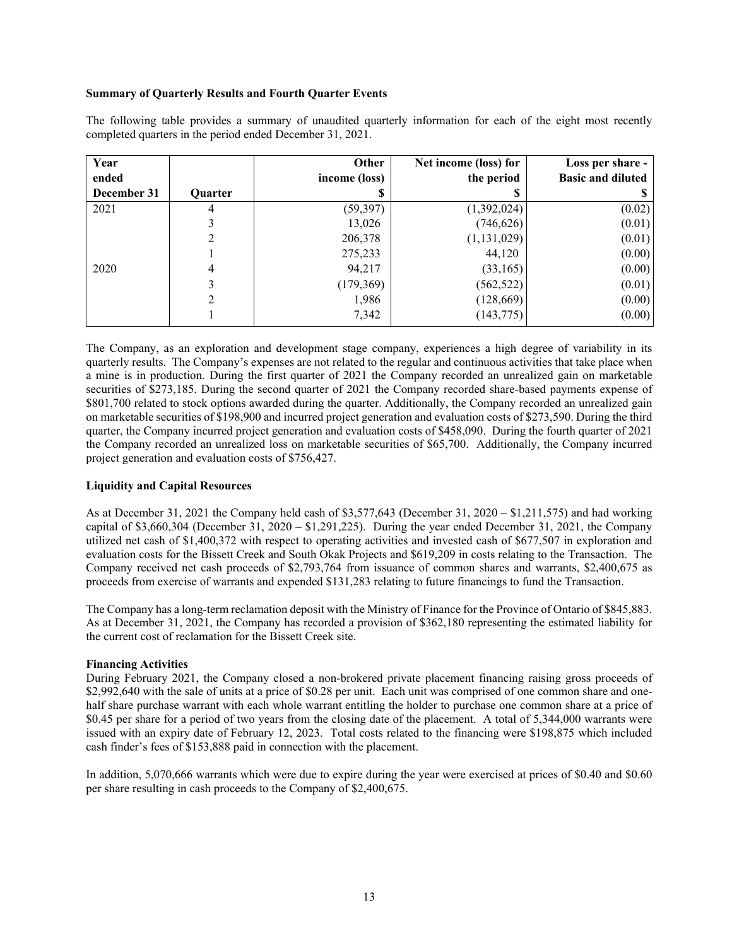# **Summary of Quarterly Results and Fourth Quarter Events**

The following table provides a summary of unaudited quarterly information for each of the eight most recently completed quarters in the period ended December 31, 2021.

| Year        |         | Other         | Net income (loss) for | Loss per share -         |
|-------------|---------|---------------|-----------------------|--------------------------|
| ended       |         | income (loss) | the period            | <b>Basic and diluted</b> |
| December 31 | Quarter |               |                       |                          |
| 2021        | 4       | (59, 397)     | (1,392,024)           | (0.02)                   |
|             |         | 13,026        | (746, 626)            | (0.01)                   |
|             | 2       | 206,378       | (1, 131, 029)         | (0.01)                   |
|             |         | 275,233       | 44,120                | (0.00)                   |
| 2020        | 4       | 94,217        | (33,165)              | (0.00)                   |
|             | 3       | (179,369)     | (562, 522)            | (0.01)                   |
|             | 2       | 1,986         | (128, 669)            | (0.00)                   |
|             |         | 7,342         | (143, 775)            | (0.00)                   |

The Company, as an exploration and development stage company, experiences a high degree of variability in its quarterly results. The Company's expenses are not related to the regular and continuous activities that take place when a mine is in production. During the first quarter of 2021 the Company recorded an unrealized gain on marketable securities of \$273,185. During the second quarter of 2021 the Company recorded share-based payments expense of \$801,700 related to stock options awarded during the quarter. Additionally, the Company recorded an unrealized gain on marketable securities of \$198,900 and incurred project generation and evaluation costs of \$273,590. During the third quarter, the Company incurred project generation and evaluation costs of \$458,090. During the fourth quarter of 2021 the Company recorded an unrealized loss on marketable securities of \$65,700. Additionally, the Company incurred project generation and evaluation costs of \$756,427.

# **Liquidity and Capital Resources**

As at December 31, 2021 the Company held cash of \$3,577,643 (December 31, 2020 – \$1,211,575) and had working capital of \$3,660,304 (December 31, 2020 – \$1,291,225). During the year ended December 31, 2021, the Company utilized net cash of \$1,400,372 with respect to operating activities and invested cash of \$677,507 in exploration and evaluation costs for the Bissett Creek and South Okak Projects and \$619,209 in costs relating to the Transaction. The Company received net cash proceeds of \$2,793,764 from issuance of common shares and warrants, \$2,400,675 as proceeds from exercise of warrants and expended \$131,283 relating to future financings to fund the Transaction.

The Company has a long-term reclamation deposit with the Ministry of Finance for the Province of Ontario of \$845,883. As at December 31, 2021, the Company has recorded a provision of \$362,180 representing the estimated liability for the current cost of reclamation for the Bissett Creek site.

# **Financing Activities**

During February 2021, the Company closed a non-brokered private placement financing raising gross proceeds of \$2,992,640 with the sale of units at a price of \$0.28 per unit. Each unit was comprised of one common share and onehalf share purchase warrant with each whole warrant entitling the holder to purchase one common share at a price of \$0.45 per share for a period of two years from the closing date of the placement. A total of 5,344,000 warrants were issued with an expiry date of February 12, 2023. Total costs related to the financing were \$198,875 which included cash finder's fees of \$153,888 paid in connection with the placement.

In addition, 5,070,666 warrants which were due to expire during the year were exercised at prices of \$0.40 and \$0.60 per share resulting in cash proceeds to the Company of \$2,400,675.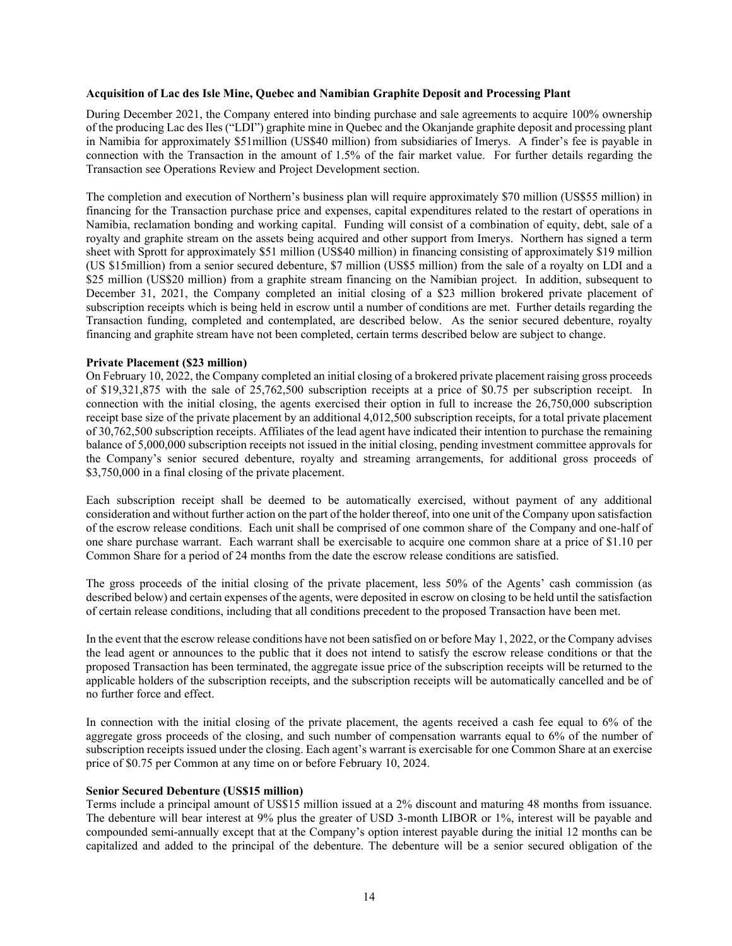#### **Acquisition of Lac des Isle Mine, Quebec and Namibian Graphite Deposit and Processing Plant**

During December 2021, the Company entered into binding purchase and sale agreements to acquire 100% ownership of the producing Lac des Iles ("LDI") graphite mine in Quebec and the Okanjande graphite deposit and processing plant in Namibia for approximately \$51million (US\$40 million) from subsidiaries of Imerys. A finder's fee is payable in connection with the Transaction in the amount of 1.5% of the fair market value. For further details regarding the Transaction see Operations Review and Project Development section.

The completion and execution of Northern's business plan will require approximately \$70 million (US\$55 million) in financing for the Transaction purchase price and expenses, capital expenditures related to the restart of operations in Namibia, reclamation bonding and working capital. Funding will consist of a combination of equity, debt, sale of a royalty and graphite stream on the assets being acquired and other support from Imerys. Northern has signed a term sheet with Sprott for approximately \$51 million (US\$40 million) in financing consisting of approximately \$19 million (US \$15million) from a senior secured debenture, \$7 million (US\$5 million) from the sale of a royalty on LDI and a \$25 million (US\$20 million) from a graphite stream financing on the Namibian project. In addition, subsequent to December 31, 2021, the Company completed an initial closing of a \$23 million brokered private placement of subscription receipts which is being held in escrow until a number of conditions are met. Further details regarding the Transaction funding, completed and contemplated, are described below. As the senior secured debenture, royalty financing and graphite stream have not been completed, certain terms described below are subject to change.

#### **Private Placement (\$23 million)**

On February 10, 2022, the Company completed an initial closing of a brokered private placement raising gross proceeds of \$19,321,875 with the sale of 25,762,500 subscription receipts at a price of \$0.75 per subscription receipt. In connection with the initial closing, the agents exercised their option in full to increase the 26,750,000 subscription receipt base size of the private placement by an additional 4,012,500 subscription receipts, for a total private placement of 30,762,500 subscription receipts. Affiliates of the lead agent have indicated their intention to purchase the remaining balance of 5,000,000 subscription receipts not issued in the initial closing, pending investment committee approvals for the Company's senior secured debenture, royalty and streaming arrangements, for additional gross proceeds of \$3,750,000 in a final closing of the private placement.

Each subscription receipt shall be deemed to be automatically exercised, without payment of any additional consideration and without further action on the part of the holder thereof, into one unit of the Company upon satisfaction of the escrow release conditions. Each unit shall be comprised of one common share of the Company and one-half of one share purchase warrant. Each warrant shall be exercisable to acquire one common share at a price of \$1.10 per Common Share for a period of 24 months from the date the escrow release conditions are satisfied.

The gross proceeds of the initial closing of the private placement, less 50% of the Agents' cash commission (as described below) and certain expenses of the agents, were deposited in escrow on closing to be held until the satisfaction of certain release conditions, including that all conditions precedent to the proposed Transaction have been met.

In the event that the escrow release conditions have not been satisfied on or before May 1, 2022, or the Company advises the lead agent or announces to the public that it does not intend to satisfy the escrow release conditions or that the proposed Transaction has been terminated, the aggregate issue price of the subscription receipts will be returned to the applicable holders of the subscription receipts, and the subscription receipts will be automatically cancelled and be of no further force and effect.

In connection with the initial closing of the private placement, the agents received a cash fee equal to 6% of the aggregate gross proceeds of the closing, and such number of compensation warrants equal to 6% of the number of subscription receipts issued under the closing. Each agent's warrant is exercisable for one Common Share at an exercise price of \$0.75 per Common at any time on or before February 10, 2024.

#### **Senior Secured Debenture (US\$15 million)**

Terms include a principal amount of US\$15 million issued at a 2% discount and maturing 48 months from issuance. The debenture will bear interest at 9% plus the greater of USD 3-month LIBOR or 1%, interest will be payable and compounded semi-annually except that at the Company's option interest payable during the initial 12 months can be capitalized and added to the principal of the debenture. The debenture will be a senior secured obligation of the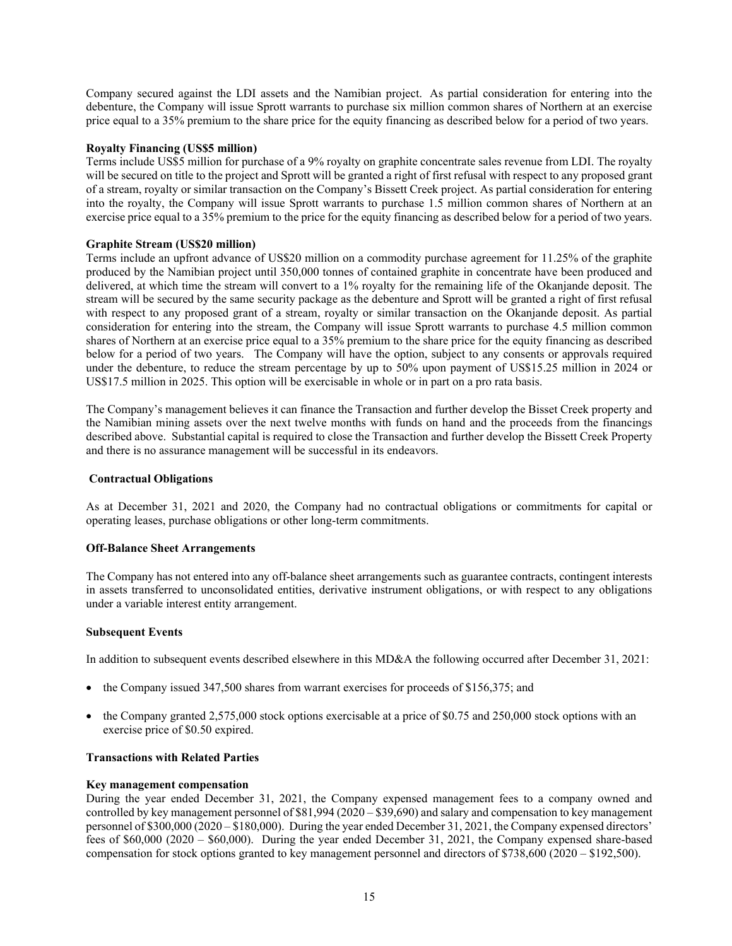Company secured against the LDI assets and the Namibian project. As partial consideration for entering into the debenture, the Company will issue Sprott warrants to purchase six million common shares of Northern at an exercise price equal to a 35% premium to the share price for the equity financing as described below for a period of two years.

# **Royalty Financing (US\$5 million)**

Terms include US\$5 million for purchase of a 9% royalty on graphite concentrate sales revenue from LDI. The royalty will be secured on title to the project and Sprott will be granted a right of first refusal with respect to any proposed grant of a stream, royalty or similar transaction on the Company's Bissett Creek project. As partial consideration for entering into the royalty, the Company will issue Sprott warrants to purchase 1.5 million common shares of Northern at an exercise price equal to a 35% premium to the price for the equity financing as described below for a period of two years.

### **Graphite Stream (US\$20 million)**

Terms include an upfront advance of US\$20 million on a commodity purchase agreement for 11.25% of the graphite produced by the Namibian project until 350,000 tonnes of contained graphite in concentrate have been produced and delivered, at which time the stream will convert to a 1% royalty for the remaining life of the Okanjande deposit. The stream will be secured by the same security package as the debenture and Sprott will be granted a right of first refusal with respect to any proposed grant of a stream, royalty or similar transaction on the Okanjande deposit. As partial consideration for entering into the stream, the Company will issue Sprott warrants to purchase 4.5 million common shares of Northern at an exercise price equal to a 35% premium to the share price for the equity financing as described below for a period of two years. The Company will have the option, subject to any consents or approvals required under the debenture, to reduce the stream percentage by up to 50% upon payment of US\$15.25 million in 2024 or US\$17.5 million in 2025. This option will be exercisable in whole or in part on a pro rata basis.

The Company's management believes it can finance the Transaction and further develop the Bisset Creek property and the Namibian mining assets over the next twelve months with funds on hand and the proceeds from the financings described above. Substantial capital is required to close the Transaction and further develop the Bissett Creek Property and there is no assurance management will be successful in its endeavors.

#### **Contractual Obligations**

As at December 31, 2021 and 2020, the Company had no contractual obligations or commitments for capital or operating leases, purchase obligations or other long-term commitments.

#### **Off-Balance Sheet Arrangements**

The Company has not entered into any off-balance sheet arrangements such as guarantee contracts, contingent interests in assets transferred to unconsolidated entities, derivative instrument obligations, or with respect to any obligations under a variable interest entity arrangement.

#### **Subsequent Events**

In addition to subsequent events described elsewhere in this MD&A the following occurred after December 31, 2021:

- the Company issued 347,500 shares from warrant exercises for proceeds of \$156,375; and
- the Company granted 2,575,000 stock options exercisable at a price of \$0.75 and 250,000 stock options with an exercise price of \$0.50 expired.

# **Transactions with Related Parties**

#### **Key management compensation**

During the year ended December 31, 2021, the Company expensed management fees to a company owned and controlled by key management personnel of \$81,994 (2020 – \$39,690) and salary and compensation to key management personnel of \$300,000 (2020 – \$180,000). During the year ended December 31, 2021, the Company expensed directors' fees of \$60,000 (2020 – \$60,000). During the year ended December 31, 2021, the Company expensed share-based compensation for stock options granted to key management personnel and directors of \$738,600 (2020 – \$192,500).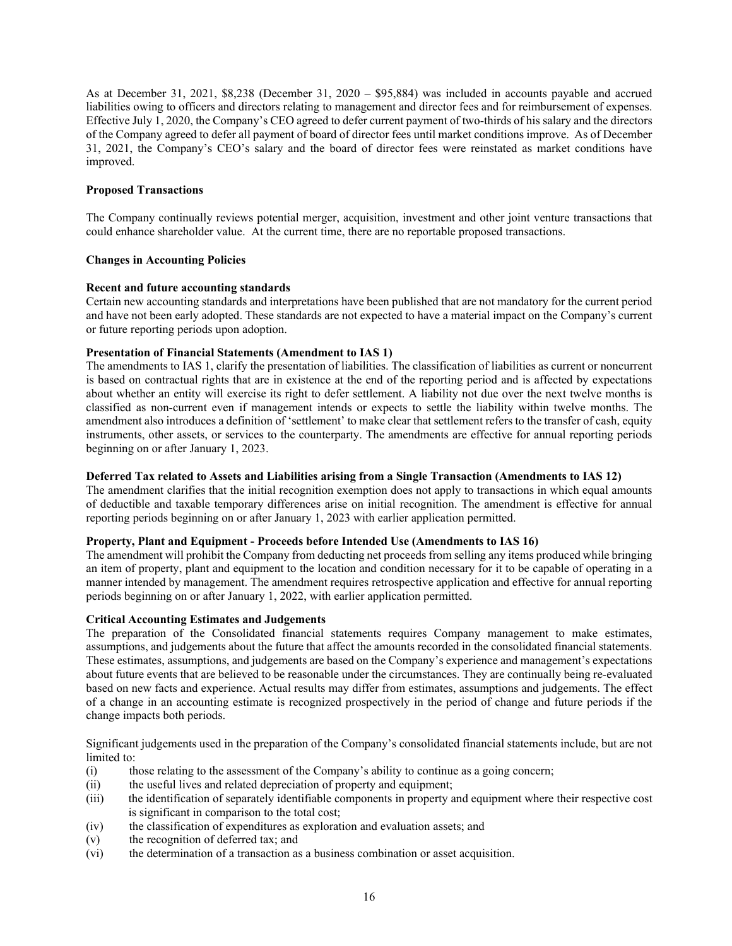As at December 31, 2021, \$8,238 (December 31, 2020 – \$95,884) was included in accounts payable and accrued liabilities owing to officers and directors relating to management and director fees and for reimbursement of expenses. Effective July 1, 2020, the Company's CEO agreed to defer current payment of two-thirds of his salary and the directors of the Company agreed to defer all payment of board of director fees until market conditions improve. As of December 31, 2021, the Company's CEO's salary and the board of director fees were reinstated as market conditions have improved.

# **Proposed Transactions**

The Company continually reviews potential merger, acquisition, investment and other joint venture transactions that could enhance shareholder value. At the current time, there are no reportable proposed transactions.

# **Changes in Accounting Policies**

# **Recent and future accounting standards**

Certain new accounting standards and interpretations have been published that are not mandatory for the current period and have not been early adopted. These standards are not expected to have a material impact on the Company's current or future reporting periods upon adoption.

# **Presentation of Financial Statements (Amendment to IAS 1)**

The amendments to IAS 1, clarify the presentation of liabilities. The classification of liabilities as current or noncurrent is based on contractual rights that are in existence at the end of the reporting period and is affected by expectations about whether an entity will exercise its right to defer settlement. A liability not due over the next twelve months is classified as non-current even if management intends or expects to settle the liability within twelve months. The amendment also introduces a definition of 'settlement' to make clear that settlement refers to the transfer of cash, equity instruments, other assets, or services to the counterparty. The amendments are effective for annual reporting periods beginning on or after January 1, 2023.

#### **Deferred Tax related to Assets and Liabilities arising from a Single Transaction (Amendments to IAS 12)**

The amendment clarifies that the initial recognition exemption does not apply to transactions in which equal amounts of deductible and taxable temporary differences arise on initial recognition. The amendment is effective for annual reporting periods beginning on or after January 1, 2023 with earlier application permitted.

# **Property, Plant and Equipment - Proceeds before Intended Use (Amendments to IAS 16)**

The amendment will prohibit the Company from deducting net proceeds from selling any items produced while bringing an item of property, plant and equipment to the location and condition necessary for it to be capable of operating in a manner intended by management. The amendment requires retrospective application and effective for annual reporting periods beginning on or after January 1, 2022, with earlier application permitted.

### **Critical Accounting Estimates and Judgements**

The preparation of the Consolidated financial statements requires Company management to make estimates, assumptions, and judgements about the future that affect the amounts recorded in the consolidated financial statements. These estimates, assumptions, and judgements are based on the Company's experience and management's expectations about future events that are believed to be reasonable under the circumstances. They are continually being re-evaluated based on new facts and experience. Actual results may differ from estimates, assumptions and judgements. The effect of a change in an accounting estimate is recognized prospectively in the period of change and future periods if the change impacts both periods.

Significant judgements used in the preparation of the Company's consolidated financial statements include, but are not limited to:

- (i) those relating to the assessment of the Company's ability to continue as a going concern;
- (ii) the useful lives and related depreciation of property and equipment;
- (iii) the identification of separately identifiable components in property and equipment where their respective cost is significant in comparison to the total cost;
- (iv) the classification of expenditures as exploration and evaluation assets; and
- (v) the recognition of deferred tax; and
- (vi) the determination of a transaction as a business combination or asset acquisition.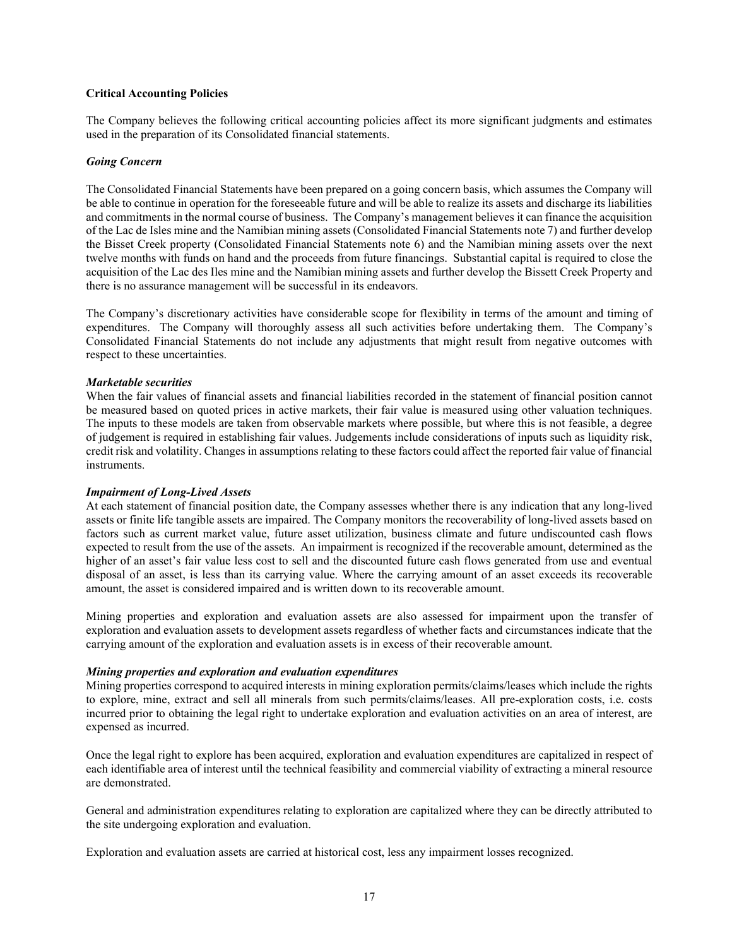### **Critical Accounting Policies**

The Company believes the following critical accounting policies affect its more significant judgments and estimates used in the preparation of its Consolidated financial statements.

#### *Going Concern*

The Consolidated Financial Statements have been prepared on a going concern basis, which assumes the Company will be able to continue in operation for the foreseeable future and will be able to realize its assets and discharge its liabilities and commitments in the normal course of business. The Company's management believes it can finance the acquisition of the Lac de Isles mine and the Namibian mining assets (Consolidated Financial Statements note 7) and further develop the Bisset Creek property (Consolidated Financial Statements note 6) and the Namibian mining assets over the next twelve months with funds on hand and the proceeds from future financings. Substantial capital is required to close the acquisition of the Lac des Iles mine and the Namibian mining assets and further develop the Bissett Creek Property and there is no assurance management will be successful in its endeavors.

The Company's discretionary activities have considerable scope for flexibility in terms of the amount and timing of expenditures. The Company will thoroughly assess all such activities before undertaking them. The Company's Consolidated Financial Statements do not include any adjustments that might result from negative outcomes with respect to these uncertainties.

# *Marketable securities*

When the fair values of financial assets and financial liabilities recorded in the statement of financial position cannot be measured based on quoted prices in active markets, their fair value is measured using other valuation techniques. The inputs to these models are taken from observable markets where possible, but where this is not feasible, a degree of judgement is required in establishing fair values. Judgements include considerations of inputs such as liquidity risk, credit risk and volatility. Changes in assumptions relating to these factors could affect the reported fair value of financial instruments.

# *Impairment of Long-Lived Assets*

At each statement of financial position date, the Company assesses whether there is any indication that any long-lived assets or finite life tangible assets are impaired. The Company monitors the recoverability of long-lived assets based on factors such as current market value, future asset utilization, business climate and future undiscounted cash flows expected to result from the use of the assets. An impairment is recognized if the recoverable amount, determined as the higher of an asset's fair value less cost to sell and the discounted future cash flows generated from use and eventual disposal of an asset, is less than its carrying value. Where the carrying amount of an asset exceeds its recoverable amount, the asset is considered impaired and is written down to its recoverable amount.

Mining properties and exploration and evaluation assets are also assessed for impairment upon the transfer of exploration and evaluation assets to development assets regardless of whether facts and circumstances indicate that the carrying amount of the exploration and evaluation assets is in excess of their recoverable amount.

#### *Mining properties and exploration and evaluation expenditures*

Mining properties correspond to acquired interests in mining exploration permits/claims/leases which include the rights to explore, mine, extract and sell all minerals from such permits/claims/leases. All pre-exploration costs, i.e. costs incurred prior to obtaining the legal right to undertake exploration and evaluation activities on an area of interest, are expensed as incurred.

Once the legal right to explore has been acquired, exploration and evaluation expenditures are capitalized in respect of each identifiable area of interest until the technical feasibility and commercial viability of extracting a mineral resource are demonstrated.

General and administration expenditures relating to exploration are capitalized where they can be directly attributed to the site undergoing exploration and evaluation.

Exploration and evaluation assets are carried at historical cost, less any impairment losses recognized.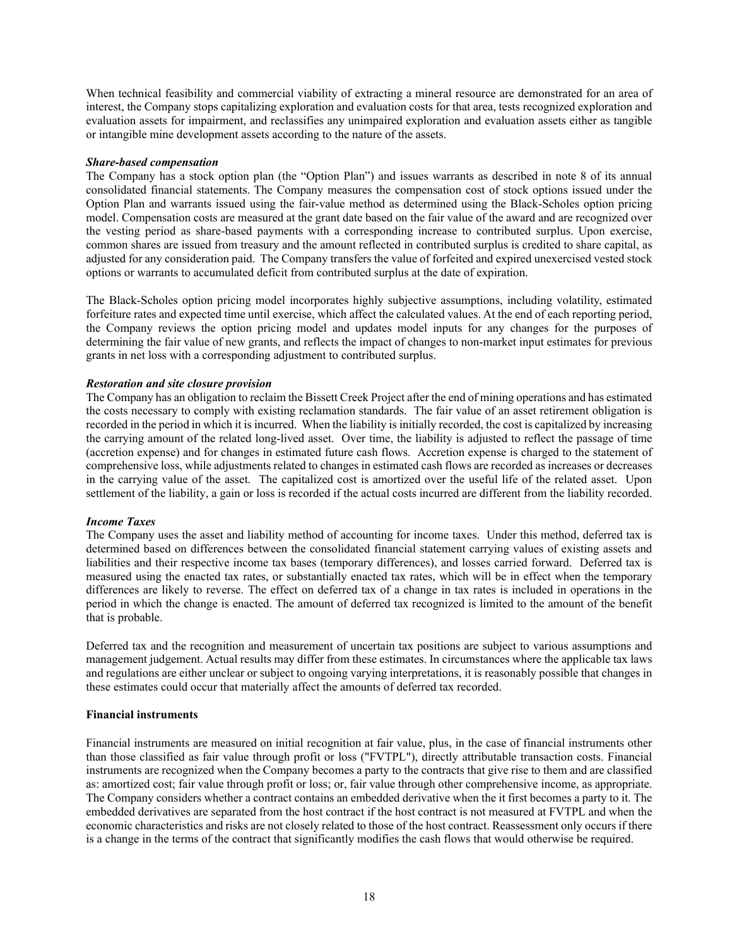When technical feasibility and commercial viability of extracting a mineral resource are demonstrated for an area of interest, the Company stops capitalizing exploration and evaluation costs for that area, tests recognized exploration and evaluation assets for impairment, and reclassifies any unimpaired exploration and evaluation assets either as tangible or intangible mine development assets according to the nature of the assets.

#### *Share-based compensation*

The Company has a stock option plan (the "Option Plan") and issues warrants as described in note 8 of its annual consolidated financial statements. The Company measures the compensation cost of stock options issued under the Option Plan and warrants issued using the fair-value method as determined using the Black-Scholes option pricing model. Compensation costs are measured at the grant date based on the fair value of the award and are recognized over the vesting period as share-based payments with a corresponding increase to contributed surplus. Upon exercise, common shares are issued from treasury and the amount reflected in contributed surplus is credited to share capital, as adjusted for any consideration paid. The Company transfers the value of forfeited and expired unexercised vested stock options or warrants to accumulated deficit from contributed surplus at the date of expiration.

The Black-Scholes option pricing model incorporates highly subjective assumptions, including volatility, estimated forfeiture rates and expected time until exercise, which affect the calculated values. At the end of each reporting period, the Company reviews the option pricing model and updates model inputs for any changes for the purposes of determining the fair value of new grants, and reflects the impact of changes to non-market input estimates for previous grants in net loss with a corresponding adjustment to contributed surplus.

#### *Restoration and site closure provision*

The Company has an obligation to reclaim the Bissett Creek Project after the end of mining operations and has estimated the costs necessary to comply with existing reclamation standards. The fair value of an asset retirement obligation is recorded in the period in which it is incurred. When the liability is initially recorded, the cost is capitalized by increasing the carrying amount of the related long-lived asset. Over time, the liability is adjusted to reflect the passage of time (accretion expense) and for changes in estimated future cash flows. Accretion expense is charged to the statement of comprehensive loss, while adjustments related to changes in estimated cash flows are recorded as increases or decreases in the carrying value of the asset. The capitalized cost is amortized over the useful life of the related asset. Upon settlement of the liability, a gain or loss is recorded if the actual costs incurred are different from the liability recorded.

#### *Income Taxes*

The Company uses the asset and liability method of accounting for income taxes. Under this method, deferred tax is determined based on differences between the consolidated financial statement carrying values of existing assets and liabilities and their respective income tax bases (temporary differences), and losses carried forward. Deferred tax is measured using the enacted tax rates, or substantially enacted tax rates, which will be in effect when the temporary differences are likely to reverse. The effect on deferred tax of a change in tax rates is included in operations in the period in which the change is enacted. The amount of deferred tax recognized is limited to the amount of the benefit that is probable.

Deferred tax and the recognition and measurement of uncertain tax positions are subject to various assumptions and management judgement. Actual results may differ from these estimates. In circumstances where the applicable tax laws and regulations are either unclear or subject to ongoing varying interpretations, it is reasonably possible that changes in these estimates could occur that materially affect the amounts of deferred tax recorded.

#### **Financial instruments**

Financial instruments are measured on initial recognition at fair value, plus, in the case of financial instruments other than those classified as fair value through profit or loss ("FVTPL"), directly attributable transaction costs. Financial instruments are recognized when the Company becomes a party to the contracts that give rise to them and are classified as: amortized cost; fair value through profit or loss; or, fair value through other comprehensive income, as appropriate. The Company considers whether a contract contains an embedded derivative when the it first becomes a party to it. The embedded derivatives are separated from the host contract if the host contract is not measured at FVTPL and when the economic characteristics and risks are not closely related to those of the host contract. Reassessment only occurs if there is a change in the terms of the contract that significantly modifies the cash flows that would otherwise be required.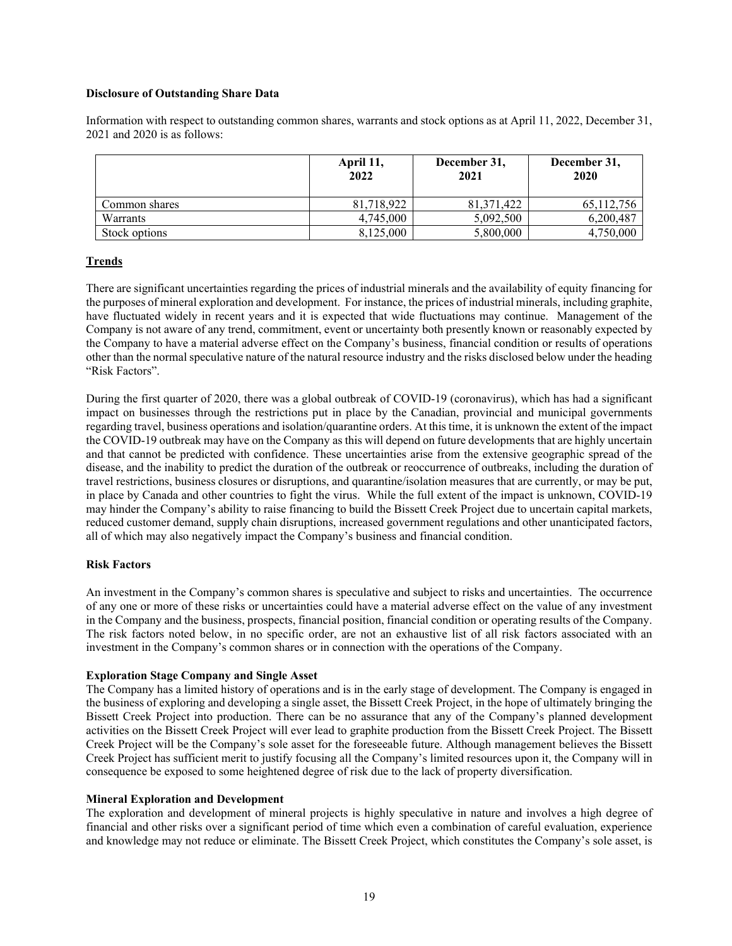# **Disclosure of Outstanding Share Data**

Information with respect to outstanding common shares, warrants and stock options as at April 11, 2022, December 31, 2021 and 2020 is as follows:

|               | April 11,<br>2022 | December 31,<br>2021 | December 31,<br>2020 |
|---------------|-------------------|----------------------|----------------------|
| Common shares | 81,718,922        | 81,371,422           | 65,112,756           |
| Warrants      | 4.745,000         | 5.092.500            | 6,200,487            |
| Stock options | 8,125,000         | 5,800,000            | 4,750,000            |

# **Trends**

There are significant uncertainties regarding the prices of industrial minerals and the availability of equity financing for the purposes of mineral exploration and development. For instance, the prices of industrial minerals, including graphite, have fluctuated widely in recent years and it is expected that wide fluctuations may continue. Management of the Company is not aware of any trend, commitment, event or uncertainty both presently known or reasonably expected by the Company to have a material adverse effect on the Company's business, financial condition or results of operations other than the normal speculative nature of the natural resource industry and the risks disclosed below under the heading "Risk Factors".

During the first quarter of 2020, there was a global outbreak of COVID-19 (coronavirus), which has had a significant impact on businesses through the restrictions put in place by the Canadian, provincial and municipal governments regarding travel, business operations and isolation/quarantine orders. At this time, it is unknown the extent of the impact the COVID-19 outbreak may have on the Company as this will depend on future developments that are highly uncertain and that cannot be predicted with confidence. These uncertainties arise from the extensive geographic spread of the disease, and the inability to predict the duration of the outbreak or reoccurrence of outbreaks, including the duration of travel restrictions, business closures or disruptions, and quarantine/isolation measures that are currently, or may be put, in place by Canada and other countries to fight the virus. While the full extent of the impact is unknown, COVID-19 may hinder the Company's ability to raise financing to build the Bissett Creek Project due to uncertain capital markets, reduced customer demand, supply chain disruptions, increased government regulations and other unanticipated factors, all of which may also negatively impact the Company's business and financial condition.

#### **Risk Factors**

An investment in the Company's common shares is speculative and subject to risks and uncertainties. The occurrence of any one or more of these risks or uncertainties could have a material adverse effect on the value of any investment in the Company and the business, prospects, financial position, financial condition or operating results of the Company. The risk factors noted below, in no specific order, are not an exhaustive list of all risk factors associated with an investment in the Company's common shares or in connection with the operations of the Company.

#### **Exploration Stage Company and Single Asset**

The Company has a limited history of operations and is in the early stage of development. The Company is engaged in the business of exploring and developing a single asset, the Bissett Creek Project, in the hope of ultimately bringing the Bissett Creek Project into production. There can be no assurance that any of the Company's planned development activities on the Bissett Creek Project will ever lead to graphite production from the Bissett Creek Project. The Bissett Creek Project will be the Company's sole asset for the foreseeable future. Although management believes the Bissett Creek Project has sufficient merit to justify focusing all the Company's limited resources upon it, the Company will in consequence be exposed to some heightened degree of risk due to the lack of property diversification.

#### **Mineral Exploration and Development**

The exploration and development of mineral projects is highly speculative in nature and involves a high degree of financial and other risks over a significant period of time which even a combination of careful evaluation, experience and knowledge may not reduce or eliminate. The Bissett Creek Project, which constitutes the Company's sole asset, is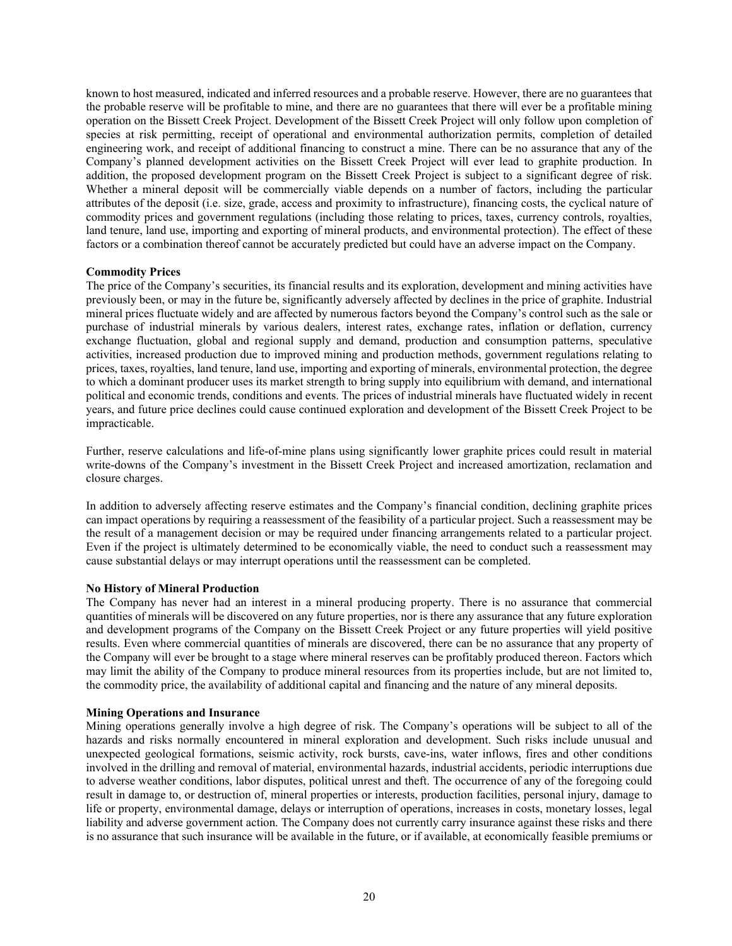known to host measured, indicated and inferred resources and a probable reserve. However, there are no guarantees that the probable reserve will be profitable to mine, and there are no guarantees that there will ever be a profitable mining operation on the Bissett Creek Project. Development of the Bissett Creek Project will only follow upon completion of species at risk permitting, receipt of operational and environmental authorization permits, completion of detailed engineering work, and receipt of additional financing to construct a mine. There can be no assurance that any of the Company's planned development activities on the Bissett Creek Project will ever lead to graphite production. In addition, the proposed development program on the Bissett Creek Project is subject to a significant degree of risk. Whether a mineral deposit will be commercially viable depends on a number of factors, including the particular attributes of the deposit (i.e. size, grade, access and proximity to infrastructure), financing costs, the cyclical nature of commodity prices and government regulations (including those relating to prices, taxes, currency controls, royalties, land tenure, land use, importing and exporting of mineral products, and environmental protection). The effect of these factors or a combination thereof cannot be accurately predicted but could have an adverse impact on the Company.

#### **Commodity Prices**

The price of the Company's securities, its financial results and its exploration, development and mining activities have previously been, or may in the future be, significantly adversely affected by declines in the price of graphite. Industrial mineral prices fluctuate widely and are affected by numerous factors beyond the Company's control such as the sale or purchase of industrial minerals by various dealers, interest rates, exchange rates, inflation or deflation, currency exchange fluctuation, global and regional supply and demand, production and consumption patterns, speculative activities, increased production due to improved mining and production methods, government regulations relating to prices, taxes, royalties, land tenure, land use, importing and exporting of minerals, environmental protection, the degree to which a dominant producer uses its market strength to bring supply into equilibrium with demand, and international political and economic trends, conditions and events. The prices of industrial minerals have fluctuated widely in recent years, and future price declines could cause continued exploration and development of the Bissett Creek Project to be impracticable.

Further, reserve calculations and life-of-mine plans using significantly lower graphite prices could result in material write-downs of the Company's investment in the Bissett Creek Project and increased amortization, reclamation and closure charges.

In addition to adversely affecting reserve estimates and the Company's financial condition, declining graphite prices can impact operations by requiring a reassessment of the feasibility of a particular project. Such a reassessment may be the result of a management decision or may be required under financing arrangements related to a particular project. Even if the project is ultimately determined to be economically viable, the need to conduct such a reassessment may cause substantial delays or may interrupt operations until the reassessment can be completed.

# **No History of Mineral Production**

The Company has never had an interest in a mineral producing property. There is no assurance that commercial quantities of minerals will be discovered on any future properties, nor is there any assurance that any future exploration and development programs of the Company on the Bissett Creek Project or any future properties will yield positive results. Even where commercial quantities of minerals are discovered, there can be no assurance that any property of the Company will ever be brought to a stage where mineral reserves can be profitably produced thereon. Factors which may limit the ability of the Company to produce mineral resources from its properties include, but are not limited to, the commodity price, the availability of additional capital and financing and the nature of any mineral deposits.

#### **Mining Operations and Insurance**

Mining operations generally involve a high degree of risk. The Company's operations will be subject to all of the hazards and risks normally encountered in mineral exploration and development. Such risks include unusual and unexpected geological formations, seismic activity, rock bursts, cave-ins, water inflows, fires and other conditions involved in the drilling and removal of material, environmental hazards, industrial accidents, periodic interruptions due to adverse weather conditions, labor disputes, political unrest and theft. The occurrence of any of the foregoing could result in damage to, or destruction of, mineral properties or interests, production facilities, personal injury, damage to life or property, environmental damage, delays or interruption of operations, increases in costs, monetary losses, legal liability and adverse government action. The Company does not currently carry insurance against these risks and there is no assurance that such insurance will be available in the future, or if available, at economically feasible premiums or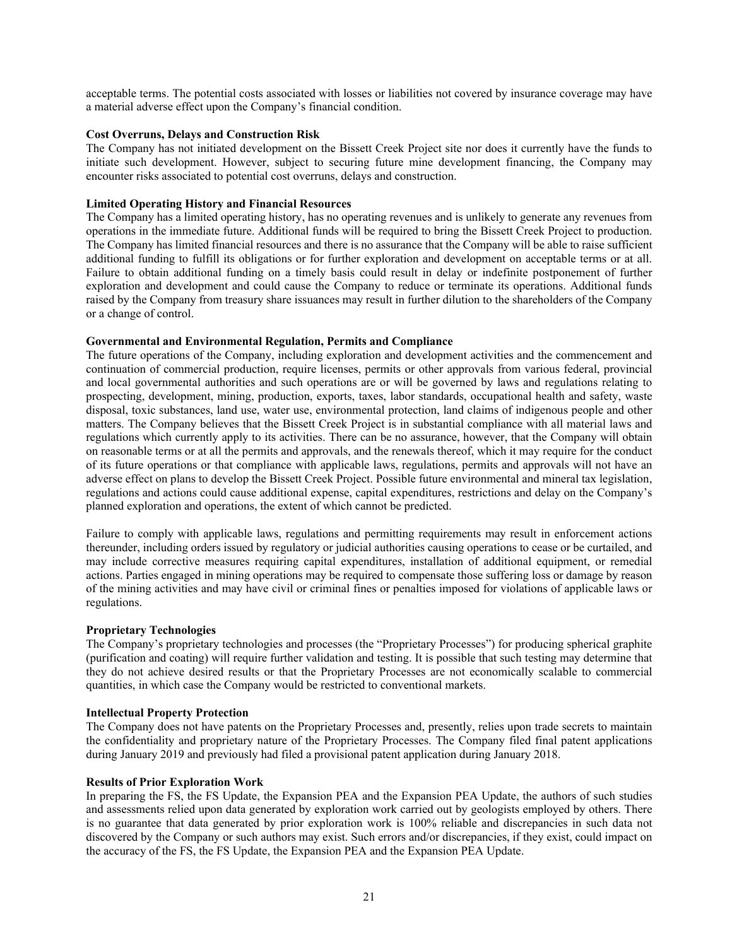acceptable terms. The potential costs associated with losses or liabilities not covered by insurance coverage may have a material adverse effect upon the Company's financial condition.

### **Cost Overruns, Delays and Construction Risk**

The Company has not initiated development on the Bissett Creek Project site nor does it currently have the funds to initiate such development. However, subject to securing future mine development financing, the Company may encounter risks associated to potential cost overruns, delays and construction.

# **Limited Operating History and Financial Resources**

The Company has a limited operating history, has no operating revenues and is unlikely to generate any revenues from operations in the immediate future. Additional funds will be required to bring the Bissett Creek Project to production. The Company has limited financial resources and there is no assurance that the Company will be able to raise sufficient additional funding to fulfill its obligations or for further exploration and development on acceptable terms or at all. Failure to obtain additional funding on a timely basis could result in delay or indefinite postponement of further exploration and development and could cause the Company to reduce or terminate its operations. Additional funds raised by the Company from treasury share issuances may result in further dilution to the shareholders of the Company or a change of control.

# **Governmental and Environmental Regulation, Permits and Compliance**

The future operations of the Company, including exploration and development activities and the commencement and continuation of commercial production, require licenses, permits or other approvals from various federal, provincial and local governmental authorities and such operations are or will be governed by laws and regulations relating to prospecting, development, mining, production, exports, taxes, labor standards, occupational health and safety, waste disposal, toxic substances, land use, water use, environmental protection, land claims of indigenous people and other matters. The Company believes that the Bissett Creek Project is in substantial compliance with all material laws and regulations which currently apply to its activities. There can be no assurance, however, that the Company will obtain on reasonable terms or at all the permits and approvals, and the renewals thereof, which it may require for the conduct of its future operations or that compliance with applicable laws, regulations, permits and approvals will not have an adverse effect on plans to develop the Bissett Creek Project. Possible future environmental and mineral tax legislation, regulations and actions could cause additional expense, capital expenditures, restrictions and delay on the Company's planned exploration and operations, the extent of which cannot be predicted.

Failure to comply with applicable laws, regulations and permitting requirements may result in enforcement actions thereunder, including orders issued by regulatory or judicial authorities causing operations to cease or be curtailed, and may include corrective measures requiring capital expenditures, installation of additional equipment, or remedial actions. Parties engaged in mining operations may be required to compensate those suffering loss or damage by reason of the mining activities and may have civil or criminal fines or penalties imposed for violations of applicable laws or regulations.

#### **Proprietary Technologies**

The Company's proprietary technologies and processes (the "Proprietary Processes") for producing spherical graphite (purification and coating) will require further validation and testing. It is possible that such testing may determine that they do not achieve desired results or that the Proprietary Processes are not economically scalable to commercial quantities, in which case the Company would be restricted to conventional markets.

#### **Intellectual Property Protection**

The Company does not have patents on the Proprietary Processes and, presently, relies upon trade secrets to maintain the confidentiality and proprietary nature of the Proprietary Processes. The Company filed final patent applications during January 2019 and previously had filed a provisional patent application during January 2018.

#### **Results of Prior Exploration Work**

In preparing the FS, the FS Update, the Expansion PEA and the Expansion PEA Update, the authors of such studies and assessments relied upon data generated by exploration work carried out by geologists employed by others. There is no guarantee that data generated by prior exploration work is 100% reliable and discrepancies in such data not discovered by the Company or such authors may exist. Such errors and/or discrepancies, if they exist, could impact on the accuracy of the FS, the FS Update, the Expansion PEA and the Expansion PEA Update.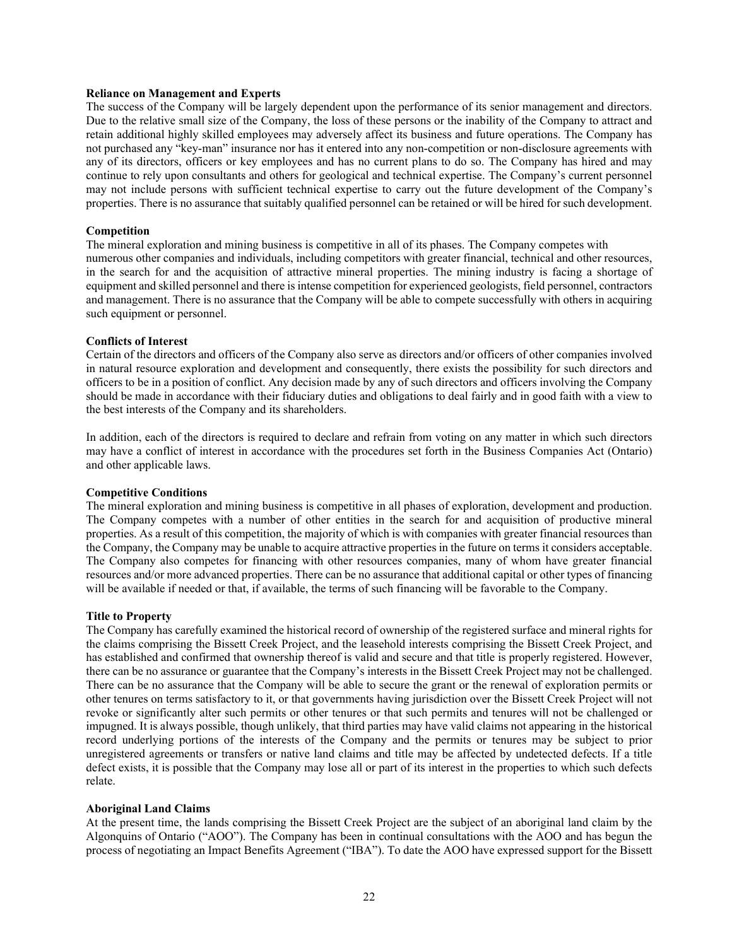#### **Reliance on Management and Experts**

The success of the Company will be largely dependent upon the performance of its senior management and directors. Due to the relative small size of the Company, the loss of these persons or the inability of the Company to attract and retain additional highly skilled employees may adversely affect its business and future operations. The Company has not purchased any "key-man" insurance nor has it entered into any non-competition or non-disclosure agreements with any of its directors, officers or key employees and has no current plans to do so. The Company has hired and may continue to rely upon consultants and others for geological and technical expertise. The Company's current personnel may not include persons with sufficient technical expertise to carry out the future development of the Company's properties. There is no assurance that suitably qualified personnel can be retained or will be hired for such development.

#### **Competition**

The mineral exploration and mining business is competitive in all of its phases. The Company competes with numerous other companies and individuals, including competitors with greater financial, technical and other resources, in the search for and the acquisition of attractive mineral properties. The mining industry is facing a shortage of equipment and skilled personnel and there is intense competition for experienced geologists, field personnel, contractors and management. There is no assurance that the Company will be able to compete successfully with others in acquiring such equipment or personnel.

#### **Conflicts of Interest**

Certain of the directors and officers of the Company also serve as directors and/or officers of other companies involved in natural resource exploration and development and consequently, there exists the possibility for such directors and officers to be in a position of conflict. Any decision made by any of such directors and officers involving the Company should be made in accordance with their fiduciary duties and obligations to deal fairly and in good faith with a view to the best interests of the Company and its shareholders.

In addition, each of the directors is required to declare and refrain from voting on any matter in which such directors may have a conflict of interest in accordance with the procedures set forth in the Business Companies Act (Ontario) and other applicable laws.

#### **Competitive Conditions**

The mineral exploration and mining business is competitive in all phases of exploration, development and production. The Company competes with a number of other entities in the search for and acquisition of productive mineral properties. As a result of this competition, the majority of which is with companies with greater financial resources than the Company, the Company may be unable to acquire attractive properties in the future on terms it considers acceptable. The Company also competes for financing with other resources companies, many of whom have greater financial resources and/or more advanced properties. There can be no assurance that additional capital or other types of financing will be available if needed or that, if available, the terms of such financing will be favorable to the Company.

#### **Title to Property**

The Company has carefully examined the historical record of ownership of the registered surface and mineral rights for the claims comprising the Bissett Creek Project, and the leasehold interests comprising the Bissett Creek Project, and has established and confirmed that ownership thereof is valid and secure and that title is properly registered. However, there can be no assurance or guarantee that the Company's interests in the Bissett Creek Project may not be challenged. There can be no assurance that the Company will be able to secure the grant or the renewal of exploration permits or other tenures on terms satisfactory to it, or that governments having jurisdiction over the Bissett Creek Project will not revoke or significantly alter such permits or other tenures or that such permits and tenures will not be challenged or impugned. It is always possible, though unlikely, that third parties may have valid claims not appearing in the historical record underlying portions of the interests of the Company and the permits or tenures may be subject to prior unregistered agreements or transfers or native land claims and title may be affected by undetected defects. If a title defect exists, it is possible that the Company may lose all or part of its interest in the properties to which such defects relate.

#### **Aboriginal Land Claims**

At the present time, the lands comprising the Bissett Creek Project are the subject of an aboriginal land claim by the Algonquins of Ontario ("AOO"). The Company has been in continual consultations with the AOO and has begun the process of negotiating an Impact Benefits Agreement ("IBA"). To date the AOO have expressed support for the Bissett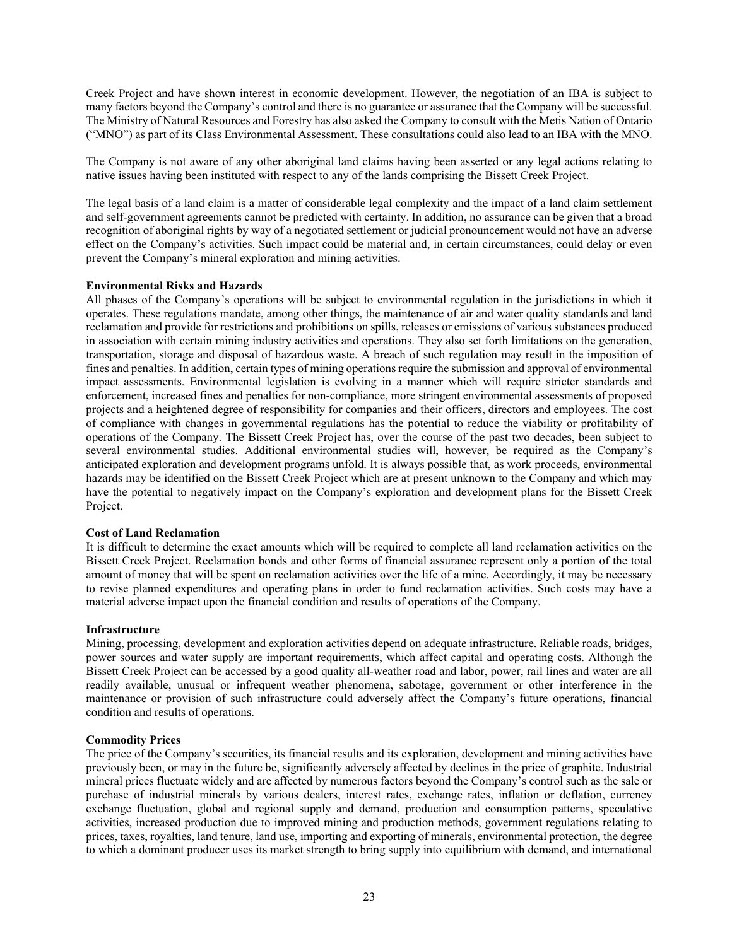Creek Project and have shown interest in economic development. However, the negotiation of an IBA is subject to many factors beyond the Company's control and there is no guarantee or assurance that the Company will be successful. The Ministry of Natural Resources and Forestry has also asked the Company to consult with the Metis Nation of Ontario ("MNO") as part of its Class Environmental Assessment. These consultations could also lead to an IBA with the MNO.

The Company is not aware of any other aboriginal land claims having been asserted or any legal actions relating to native issues having been instituted with respect to any of the lands comprising the Bissett Creek Project.

The legal basis of a land claim is a matter of considerable legal complexity and the impact of a land claim settlement and self-government agreements cannot be predicted with certainty. In addition, no assurance can be given that a broad recognition of aboriginal rights by way of a negotiated settlement or judicial pronouncement would not have an adverse effect on the Company's activities. Such impact could be material and, in certain circumstances, could delay or even prevent the Company's mineral exploration and mining activities.

#### **Environmental Risks and Hazards**

All phases of the Company's operations will be subject to environmental regulation in the jurisdictions in which it operates. These regulations mandate, among other things, the maintenance of air and water quality standards and land reclamation and provide for restrictions and prohibitions on spills, releases or emissions of various substances produced in association with certain mining industry activities and operations. They also set forth limitations on the generation, transportation, storage and disposal of hazardous waste. A breach of such regulation may result in the imposition of fines and penalties. In addition, certain types of mining operations require the submission and approval of environmental impact assessments. Environmental legislation is evolving in a manner which will require stricter standards and enforcement, increased fines and penalties for non-compliance, more stringent environmental assessments of proposed projects and a heightened degree of responsibility for companies and their officers, directors and employees. The cost of compliance with changes in governmental regulations has the potential to reduce the viability or profitability of operations of the Company. The Bissett Creek Project has, over the course of the past two decades, been subject to several environmental studies. Additional environmental studies will, however, be required as the Company's anticipated exploration and development programs unfold. It is always possible that, as work proceeds, environmental hazards may be identified on the Bissett Creek Project which are at present unknown to the Company and which may have the potential to negatively impact on the Company's exploration and development plans for the Bissett Creek Project.

## **Cost of Land Reclamation**

It is difficult to determine the exact amounts which will be required to complete all land reclamation activities on the Bissett Creek Project. Reclamation bonds and other forms of financial assurance represent only a portion of the total amount of money that will be spent on reclamation activities over the life of a mine. Accordingly, it may be necessary to revise planned expenditures and operating plans in order to fund reclamation activities. Such costs may have a material adverse impact upon the financial condition and results of operations of the Company.

#### **Infrastructure**

Mining, processing, development and exploration activities depend on adequate infrastructure. Reliable roads, bridges, power sources and water supply are important requirements, which affect capital and operating costs. Although the Bissett Creek Project can be accessed by a good quality all-weather road and labor, power, rail lines and water are all readily available, unusual or infrequent weather phenomena, sabotage, government or other interference in the maintenance or provision of such infrastructure could adversely affect the Company's future operations, financial condition and results of operations.

#### **Commodity Prices**

The price of the Company's securities, its financial results and its exploration, development and mining activities have previously been, or may in the future be, significantly adversely affected by declines in the price of graphite. Industrial mineral prices fluctuate widely and are affected by numerous factors beyond the Company's control such as the sale or purchase of industrial minerals by various dealers, interest rates, exchange rates, inflation or deflation, currency exchange fluctuation, global and regional supply and demand, production and consumption patterns, speculative activities, increased production due to improved mining and production methods, government regulations relating to prices, taxes, royalties, land tenure, land use, importing and exporting of minerals, environmental protection, the degree to which a dominant producer uses its market strength to bring supply into equilibrium with demand, and international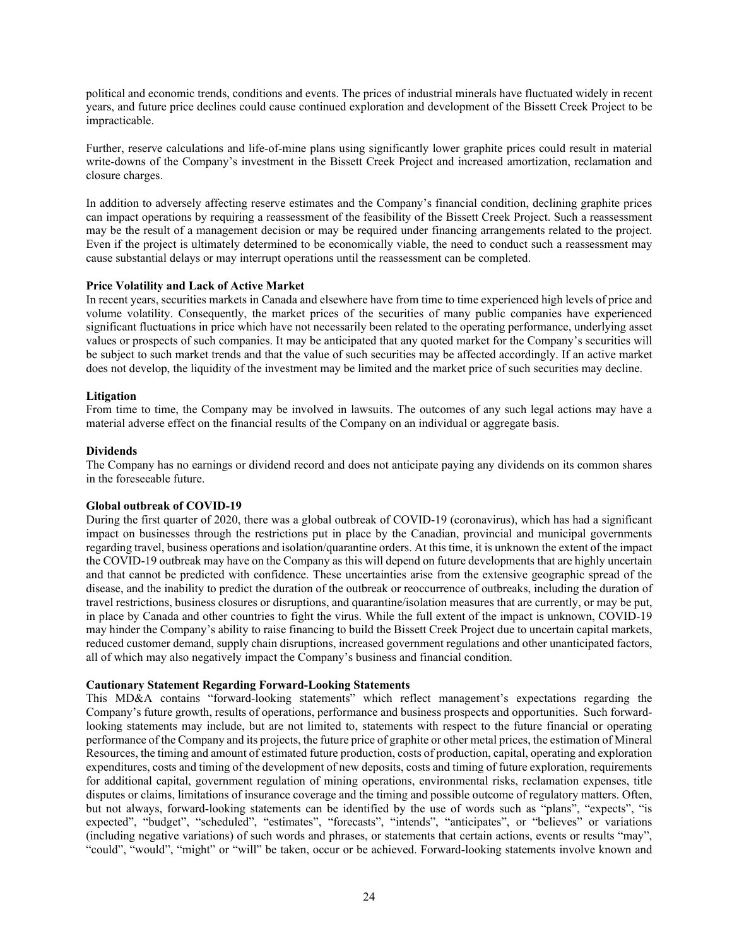political and economic trends, conditions and events. The prices of industrial minerals have fluctuated widely in recent years, and future price declines could cause continued exploration and development of the Bissett Creek Project to be impracticable.

Further, reserve calculations and life-of-mine plans using significantly lower graphite prices could result in material write-downs of the Company's investment in the Bissett Creek Project and increased amortization, reclamation and closure charges.

In addition to adversely affecting reserve estimates and the Company's financial condition, declining graphite prices can impact operations by requiring a reassessment of the feasibility of the Bissett Creek Project. Such a reassessment may be the result of a management decision or may be required under financing arrangements related to the project. Even if the project is ultimately determined to be economically viable, the need to conduct such a reassessment may cause substantial delays or may interrupt operations until the reassessment can be completed.

# **Price Volatility and Lack of Active Market**

In recent years, securities markets in Canada and elsewhere have from time to time experienced high levels of price and volume volatility. Consequently, the market prices of the securities of many public companies have experienced significant fluctuations in price which have not necessarily been related to the operating performance, underlying asset values or prospects of such companies. It may be anticipated that any quoted market for the Company's securities will be subject to such market trends and that the value of such securities may be affected accordingly. If an active market does not develop, the liquidity of the investment may be limited and the market price of such securities may decline.

# **Litigation**

From time to time, the Company may be involved in lawsuits. The outcomes of any such legal actions may have a material adverse effect on the financial results of the Company on an individual or aggregate basis.

# **Dividends**

The Company has no earnings or dividend record and does not anticipate paying any dividends on its common shares in the foreseeable future.

#### **Global outbreak of COVID-19**

During the first quarter of 2020, there was a global outbreak of COVID-19 (coronavirus), which has had a significant impact on businesses through the restrictions put in place by the Canadian, provincial and municipal governments regarding travel, business operations and isolation/quarantine orders. At this time, it is unknown the extent of the impact the COVID-19 outbreak may have on the Company as this will depend on future developments that are highly uncertain and that cannot be predicted with confidence. These uncertainties arise from the extensive geographic spread of the disease, and the inability to predict the duration of the outbreak or reoccurrence of outbreaks, including the duration of travel restrictions, business closures or disruptions, and quarantine/isolation measures that are currently, or may be put, in place by Canada and other countries to fight the virus. While the full extent of the impact is unknown, COVID-19 may hinder the Company's ability to raise financing to build the Bissett Creek Project due to uncertain capital markets, reduced customer demand, supply chain disruptions, increased government regulations and other unanticipated factors, all of which may also negatively impact the Company's business and financial condition.

# **Cautionary Statement Regarding Forward-Looking Statements**

This MD&A contains "forward-looking statements" which reflect management's expectations regarding the Company's future growth, results of operations, performance and business prospects and opportunities. Such forwardlooking statements may include, but are not limited to, statements with respect to the future financial or operating performance of the Company and its projects, the future price of graphite or other metal prices, the estimation of Mineral Resources, the timing and amount of estimated future production, costs of production, capital, operating and exploration expenditures, costs and timing of the development of new deposits, costs and timing of future exploration, requirements for additional capital, government regulation of mining operations, environmental risks, reclamation expenses, title disputes or claims, limitations of insurance coverage and the timing and possible outcome of regulatory matters. Often, but not always, forward-looking statements can be identified by the use of words such as "plans", "expects", "is expected", "budget", "scheduled", "estimates", "forecasts", "intends", "anticipates", or "believes" or variations (including negative variations) of such words and phrases, or statements that certain actions, events or results "may", "could", "would", "might" or "will" be taken, occur or be achieved. Forward-looking statements involve known and